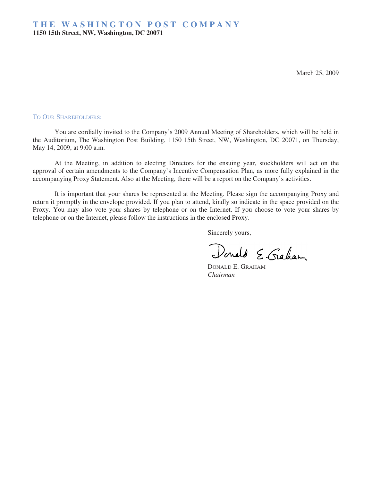March 25, 2009

#### TO OUR SHAREHOLDERS:

You are cordially invited to the Company's 2009 Annual Meeting of Shareholders, which will be held in the Auditorium, The Washington Post Building, 1150 15th Street, NW, Washington, DC 20071, on Thursday, May 14, 2009, at 9:00 a.m.

At the Meeting, in addition to electing Directors for the ensuing year, stockholders will act on the approval of certain amendments to the Company's Incentive Compensation Plan, as more fully explained in the accompanying Proxy Statement. Also at the Meeting, there will be a report on the Company's activities.

It is important that your shares be represented at the Meeting. Please sign the accompanying Proxy and return it promptly in the envelope provided. If you plan to attend, kindly so indicate in the space provided on the Proxy. You may also vote your shares by telephone or on the Internet. If you choose to vote your shares by telephone or on the Internet, please follow the instructions in the enclosed Proxy.

Sincerely yours,

Donald E. Gaham

DONALD E. GRAHAM *Chairman*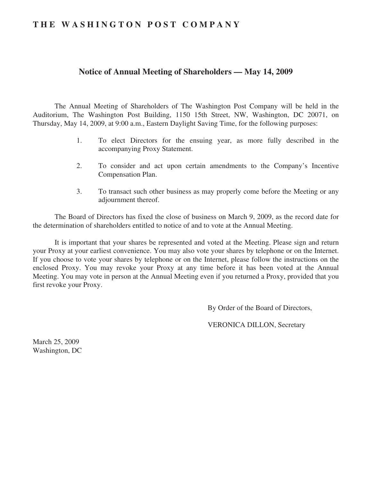## **THE WASHINGTON POST COMPANY**

## **Notice of Annual Meeting of Shareholders — May 14, 2009**

The Annual Meeting of Shareholders of The Washington Post Company will be held in the Auditorium, The Washington Post Building, 1150 15th Street, NW, Washington, DC 20071, on Thursday, May 14, 2009, at 9:00 a.m., Eastern Daylight Saving Time, for the following purposes:

- 1. To elect Directors for the ensuing year, as more fully described in the accompanying Proxy Statement.
- 2. To consider and act upon certain amendments to the Company's Incentive Compensation Plan.
- 3. To transact such other business as may properly come before the Meeting or any adjournment thereof.

The Board of Directors has fixed the close of business on March 9, 2009, as the record date for the determination of shareholders entitled to notice of and to vote at the Annual Meeting.

It is important that your shares be represented and voted at the Meeting. Please sign and return your Proxy at your earliest convenience. You may also vote your shares by telephone or on the Internet. If you choose to vote your shares by telephone or on the Internet, please follow the instructions on the enclosed Proxy. You may revoke your Proxy at any time before it has been voted at the Annual Meeting. You may vote in person at the Annual Meeting even if you returned a Proxy, provided that you first revoke your Proxy.

By Order of the Board of Directors,

VERONICA DILLON, Secretary

March 25, 2009 Washington, DC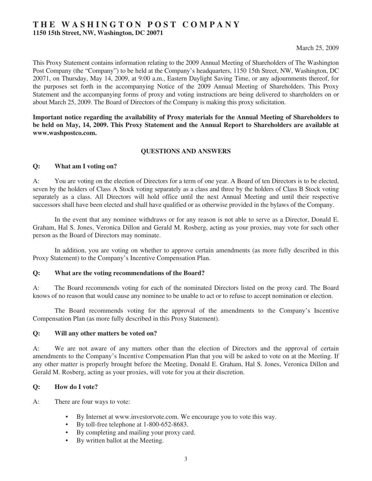## **THE WASHINGTON POST COMPANY**

**1150 15th Street, NW, Washington, DC 20071**

This Proxy Statement contains information relating to the 2009 Annual Meeting of Shareholders of The Washington Post Company (the "Company") to be held at the Company's headquarters, 1150 15th Street, NW, Washington, DC 20071, on Thursday, May 14, 2009, at 9:00 a.m., Eastern Daylight Saving Time, or any adjournments thereof, for the purposes set forth in the accompanying Notice of the 2009 Annual Meeting of Shareholders. This Proxy Statement and the accompanying forms of proxy and voting instructions are being delivered to shareholders on or about March 25, 2009. The Board of Directors of the Company is making this proxy solicitation.

**Important notice regarding the availability of Proxy materials for the Annual Meeting of Shareholders to be held on May, 14, 2009. This Proxy Statement and the Annual Report to Shareholders are available at www.washpostco.com.**

#### **QUESTIONS AND ANSWERS**

#### **Q: What am I voting on?**

A: You are voting on the election of Directors for a term of one year. A Board of ten Directors is to be elected, seven by the holders of Class A Stock voting separately as a class and three by the holders of Class B Stock voting separately as a class. All Directors will hold office until the next Annual Meeting and until their respective successors shall have been elected and shall have qualified or as otherwise provided in the bylaws of the Company.

In the event that any nominee withdraws or for any reason is not able to serve as a Director, Donald E. Graham, Hal S. Jones, Veronica Dillon and Gerald M. Rosberg, acting as your proxies, may vote for such other person as the Board of Directors may nominate.

In addition, you are voting on whether to approve certain amendments (as more fully described in this Proxy Statement) to the Company's Incentive Compensation Plan.

#### **Q: What are the voting recommendations of the Board?**

A: The Board recommends voting for each of the nominated Directors listed on the proxy card. The Board knows of no reason that would cause any nominee to be unable to act or to refuse to accept nomination or election.

The Board recommends voting for the approval of the amendments to the Company's Incentive Compensation Plan (as more fully described in this Proxy Statement).

#### **Q: Will any other matters be voted on?**

A: We are not aware of any matters other than the election of Directors and the approval of certain amendments to the Company's Incentive Compensation Plan that you will be asked to vote on at the Meeting. If any other matter is properly brought before the Meeting, Donald E. Graham, Hal S. Jones, Veronica Dillon and Gerald M. Rosberg, acting as your proxies, will vote for you at their discretion.

#### **Q: How do I vote?**

A: There are four ways to vote:

- By Internet at www.investorvote.com. We encourage you to vote this way.
- By toll-free telephone at 1-800-652-8683.
- By completing and mailing your proxy card.
- By written ballot at the Meeting.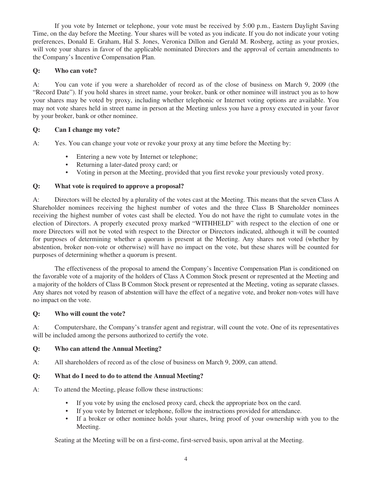If you vote by Internet or telephone, your vote must be received by 5:00 p.m., Eastern Daylight Saving Time, on the day before the Meeting. Your shares will be voted as you indicate. If you do not indicate your voting preferences, Donald E. Graham, Hal S. Jones, Veronica Dillon and Gerald M. Rosberg, acting as your proxies, will vote your shares in favor of the applicable nominated Directors and the approval of certain amendments to the Company's Incentive Compensation Plan.

## **Q: Who can vote?**

A: You can vote if you were a shareholder of record as of the close of business on March 9, 2009 (the "Record Date"). If you hold shares in street name, your broker, bank or other nominee will instruct you as to how your shares may be voted by proxy, including whether telephonic or Internet voting options are available. You may not vote shares held in street name in person at the Meeting unless you have a proxy executed in your favor by your broker, bank or other nominee.

## **Q: Can I change my vote?**

A: Yes. You can change your vote or revoke your proxy at any time before the Meeting by:

- Entering a new vote by Internet or telephone;
- Returning a later-dated proxy card; or
- Voting in person at the Meeting, provided that you first revoke your previously voted proxy.

## **Q: What vote is required to approve a proposal?**

A: Directors will be elected by a plurality of the votes cast at the Meeting. This means that the seven Class A Shareholder nominees receiving the highest number of votes and the three Class B Shareholder nominees receiving the highest number of votes cast shall be elected. You do not have the right to cumulate votes in the election of Directors. A properly executed proxy marked "WITHHELD" with respect to the election of one or more Directors will not be voted with respect to the Director or Directors indicated, although it will be counted for purposes of determining whether a quorum is present at the Meeting. Any shares not voted (whether by abstention, broker non-vote or otherwise) will have no impact on the vote, but these shares will be counted for purposes of determining whether a quorum is present.

The effectiveness of the proposal to amend the Company's Incentive Compensation Plan is conditioned on the favorable vote of a majority of the holders of Class A Common Stock present or represented at the Meeting and a majority of the holders of Class B Common Stock present or represented at the Meeting, voting as separate classes. Any shares not voted by reason of abstention will have the effect of a negative vote, and broker non-votes will have no impact on the vote.

## **Q: Who will count the vote?**

A: Computershare, the Company's transfer agent and registrar, will count the vote. One of its representatives will be included among the persons authorized to certify the vote.

## **Q: Who can attend the Annual Meeting?**

A: All shareholders of record as of the close of business on March 9, 2009, can attend.

## **Q: What do I need to do to attend the Annual Meeting?**

- A: To attend the Meeting, please follow these instructions:
	- If you vote by using the enclosed proxy card, check the appropriate box on the card.
	- If you vote by Internet or telephone, follow the instructions provided for attendance.
	- If a broker or other nominee holds your shares, bring proof of your ownership with you to the Meeting.

Seating at the Meeting will be on a first-come, first-served basis, upon arrival at the Meeting.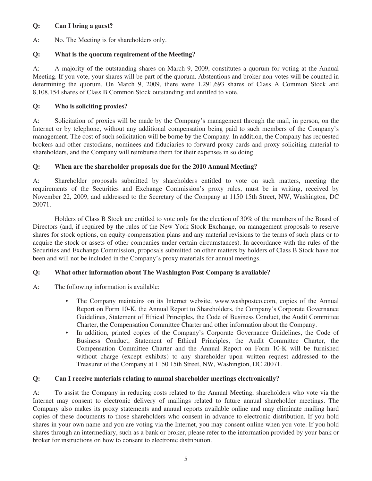## **Q: Can I bring a guest?**

A: No. The Meeting is for shareholders only.

## **Q: What is the quorum requirement of the Meeting?**

A: A majority of the outstanding shares on March 9, 2009, constitutes a quorum for voting at the Annual Meeting. If you vote, your shares will be part of the quorum. Abstentions and broker non-votes will be counted in determining the quorum. On March 9, 2009, there were 1,291,693 shares of Class A Common Stock and 8,108,154 shares of Class B Common Stock outstanding and entitled to vote.

## **Q: Who is soliciting proxies?**

A: Solicitation of proxies will be made by the Company's management through the mail, in person, on the Internet or by telephone, without any additional compensation being paid to such members of the Company's management. The cost of such solicitation will be borne by the Company. In addition, the Company has requested brokers and other custodians, nominees and fiduciaries to forward proxy cards and proxy soliciting material to shareholders, and the Company will reimburse them for their expenses in so doing.

## **Q: When are the shareholder proposals due for the 2010 Annual Meeting?**

A: Shareholder proposals submitted by shareholders entitled to vote on such matters, meeting the requirements of the Securities and Exchange Commission's proxy rules, must be in writing, received by November 22, 2009, and addressed to the Secretary of the Company at 1150 15th Street, NW, Washington, DC 20071.

Holders of Class B Stock are entitled to vote only for the election of 30% of the members of the Board of Directors (and, if required by the rules of the New York Stock Exchange, on management proposals to reserve shares for stock options, on equity-compensation plans and any material revisions to the terms of such plans or to acquire the stock or assets of other companies under certain circumstances). In accordance with the rules of the Securities and Exchange Commission, proposals submitted on other matters by holders of Class B Stock have not been and will not be included in the Company's proxy materials for annual meetings.

## **Q: What other information about The Washington Post Company is available?**

- A: The following information is available:
	- The Company maintains on its Internet website, www.washpostco.com, copies of the Annual Report on Form 10-K, the Annual Report to Shareholders, the Company's Corporate Governance Guidelines, Statement of Ethical Principles, the Code of Business Conduct, the Audit Committee Charter, the Compensation Committee Charter and other information about the Company.
	- In addition, printed copies of the Company's Corporate Governance Guidelines, the Code of Business Conduct, Statement of Ethical Principles, the Audit Committee Charter, the Compensation Committee Charter and the Annual Report on Form 10-K will be furnished without charge (except exhibits) to any shareholder upon written request addressed to the Treasurer of the Company at 1150 15th Street, NW, Washington, DC 20071.

## **Q: Can I receive materials relating to annual shareholder meetings electronically?**

A: To assist the Company in reducing costs related to the Annual Meeting, shareholders who vote via the Internet may consent to electronic delivery of mailings related to future annual shareholder meetings. The Company also makes its proxy statements and annual reports available online and may eliminate mailing hard copies of these documents to those shareholders who consent in advance to electronic distribution. If you hold shares in your own name and you are voting via the Internet, you may consent online when you vote. If you hold shares through an intermediary, such as a bank or broker, please refer to the information provided by your bank or broker for instructions on how to consent to electronic distribution.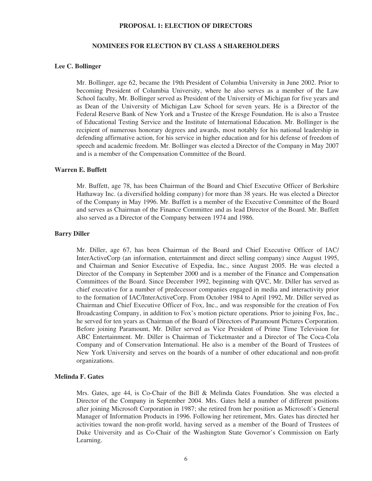#### **PROPOSAL 1: ELECTION OF DIRECTORS**

#### **NOMINEES FOR ELECTION BY CLASS A SHAREHOLDERS**

#### **Lee C. Bollinger**

Mr. Bollinger, age 62, became the 19th President of Columbia University in June 2002. Prior to becoming President of Columbia University, where he also serves as a member of the Law School faculty, Mr. Bollinger served as President of the University of Michigan for five years and as Dean of the University of Michigan Law School for seven years. He is a Director of the Federal Reserve Bank of New York and a Trustee of the Kresge Foundation. He is also a Trustee of Educational Testing Service and the Institute of International Education. Mr. Bollinger is the recipient of numerous honorary degrees and awards, most notably for his national leadership in defending affirmative action, for his service in higher education and for his defense of freedom of speech and academic freedom. Mr. Bollinger was elected a Director of the Company in May 2007 and is a member of the Compensation Committee of the Board.

#### **Warren E. Buffett**

Mr. Buffett, age 78, has been Chairman of the Board and Chief Executive Officer of Berkshire Hathaway Inc. (a diversified holding company) for more than 38 years. He was elected a Director of the Company in May 1996. Mr. Buffett is a member of the Executive Committee of the Board and serves as Chairman of the Finance Committee and as lead Director of the Board. Mr. Buffett also served as a Director of the Company between 1974 and 1986.

#### **Barry Diller**

Mr. Diller, age 67, has been Chairman of the Board and Chief Executive Officer of IAC/ InterActiveCorp (an information, entertainment and direct selling company) since August 1995, and Chairman and Senior Executive of Expedia, Inc., since August 2005. He was elected a Director of the Company in September 2000 and is a member of the Finance and Compensation Committees of the Board. Since December 1992, beginning with QVC, Mr. Diller has served as chief executive for a number of predecessor companies engaged in media and interactivity prior to the formation of IAC/InterActiveCorp. From October 1984 to April 1992, Mr. Diller served as Chairman and Chief Executive Officer of Fox, Inc., and was responsible for the creation of Fox Broadcasting Company, in addition to Fox's motion picture operations. Prior to joining Fox, Inc., he served for ten years as Chairman of the Board of Directors of Paramount Pictures Corporation. Before joining Paramount, Mr. Diller served as Vice President of Prime Time Television for ABC Entertainment. Mr. Diller is Chairman of Ticketmaster and a Director of The Coca-Cola Company and of Conservation International. He also is a member of the Board of Trustees of New York University and serves on the boards of a number of other educational and non-profit organizations.

#### **Melinda F. Gates**

Mrs. Gates, age 44, is Co-Chair of the Bill & Melinda Gates Foundation. She was elected a Director of the Company in September 2004. Mrs. Gates held a number of different positions after joining Microsoft Corporation in 1987; she retired from her position as Microsoft's General Manager of Information Products in 1996. Following her retirement, Mrs. Gates has directed her activities toward the non-profit world, having served as a member of the Board of Trustees of Duke University and as Co-Chair of the Washington State Governor's Commission on Early Learning.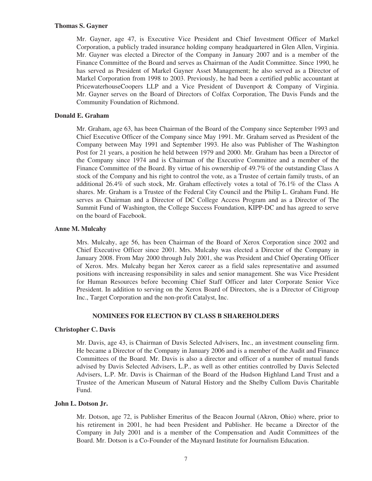#### **Thomas S. Gayner**

Mr. Gayner, age 47, is Executive Vice President and Chief Investment Officer of Markel Corporation, a publicly traded insurance holding company headquartered in Glen Allen, Virginia. Mr. Gayner was elected a Director of the Company in January 2007 and is a member of the Finance Committee of the Board and serves as Chairman of the Audit Committee. Since 1990, he has served as President of Markel Gayner Asset Management; he also served as a Director of Markel Corporation from 1998 to 2003. Previously, he had been a certified public accountant at PricewaterhouseCoopers LLP and a Vice President of Davenport & Company of Virginia. Mr. Gayner serves on the Board of Directors of Colfax Corporation, The Davis Funds and the Community Foundation of Richmond.

#### **Donald E. Graham**

Mr. Graham, age 63, has been Chairman of the Board of the Company since September 1993 and Chief Executive Officer of the Company since May 1991. Mr. Graham served as President of the Company between May 1991 and September 1993. He also was Publisher of The Washington Post for 21 years, a position he held between 1979 and 2000. Mr. Graham has been a Director of the Company since 1974 and is Chairman of the Executive Committee and a member of the Finance Committee of the Board. By virtue of his ownership of 49.7% of the outstanding Class A stock of the Company and his right to control the vote, as a Trustee of certain family trusts, of an additional 26.4% of such stock, Mr. Graham effectively votes a total of 76.1% of the Class A shares. Mr. Graham is a Trustee of the Federal City Council and the Philip L. Graham Fund. He serves as Chairman and a Director of DC College Access Program and as a Director of The Summit Fund of Washington, the College Success Foundation, KIPP-DC and has agreed to serve on the board of Facebook.

#### **Anne M. Mulcahy**

Mrs. Mulcahy, age 56, has been Chairman of the Board of Xerox Corporation since 2002 and Chief Executive Officer since 2001. Mrs. Mulcahy was elected a Director of the Company in January 2008. From May 2000 through July 2001, she was President and Chief Operating Officer of Xerox. Mrs. Mulcahy began her Xerox career as a field sales representative and assumed positions with increasing responsibility in sales and senior management. She was Vice President for Human Resources before becoming Chief Staff Officer and later Corporate Senior Vice President. In addition to serving on the Xerox Board of Directors, she is a Director of Citigroup Inc., Target Corporation and the non-profit Catalyst, Inc.

#### **NOMINEES FOR ELECTION BY CLASS B SHAREHOLDERS**

#### **Christopher C. Davis**

Mr. Davis, age 43, is Chairman of Davis Selected Advisers, Inc., an investment counseling firm. He became a Director of the Company in January 2006 and is a member of the Audit and Finance Committees of the Board. Mr. Davis is also a director and officer of a number of mutual funds advised by Davis Selected Advisers, L.P., as well as other entities controlled by Davis Selected Advisers, L.P. Mr. Davis is Chairman of the Board of the Hudson Highland Land Trust and a Trustee of the American Museum of Natural History and the Shelby Cullom Davis Charitable Fund.

#### **John L. Dotson Jr.**

Mr. Dotson, age 72, is Publisher Emeritus of the Beacon Journal (Akron, Ohio) where, prior to his retirement in 2001, he had been President and Publisher. He became a Director of the Company in July 2001 and is a member of the Compensation and Audit Committees of the Board. Mr. Dotson is a Co-Founder of the Maynard Institute for Journalism Education.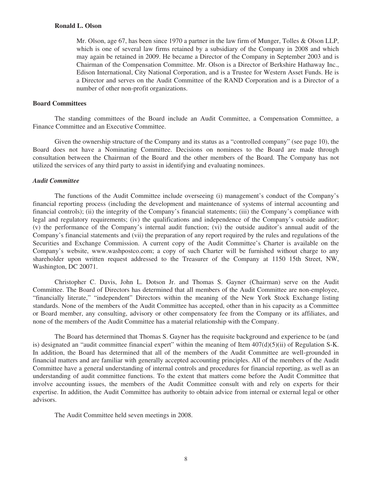#### **Ronald L. Olson**

Mr. Olson, age 67, has been since 1970 a partner in the law firm of Munger, Tolles & Olson LLP, which is one of several law firms retained by a subsidiary of the Company in 2008 and which may again be retained in 2009. He became a Director of the Company in September 2003 and is Chairman of the Compensation Committee. Mr. Olson is a Director of Berkshire Hathaway Inc., Edison International, City National Corporation, and is a Trustee for Western Asset Funds. He is a Director and serves on the Audit Committee of the RAND Corporation and is a Director of a number of other non-profit organizations.

#### **Board Committees**

The standing committees of the Board include an Audit Committee, a Compensation Committee, a Finance Committee and an Executive Committee.

Given the ownership structure of the Company and its status as a "controlled company" (see page 10), the Board does not have a Nominating Committee. Decisions on nominees to the Board are made through consultation between the Chairman of the Board and the other members of the Board. The Company has not utilized the services of any third party to assist in identifying and evaluating nominees.

#### *Audit Committee*

The functions of the Audit Committee include overseeing (i) management's conduct of the Company's financial reporting process (including the development and maintenance of systems of internal accounting and financial controls); (ii) the integrity of the Company's financial statements; (iii) the Company's compliance with legal and regulatory requirements; (iv) the qualifications and independence of the Company's outside auditor; (v) the performance of the Company's internal audit function; (vi) the outside auditor's annual audit of the Company's financial statements and (vii) the preparation of any report required by the rules and regulations of the Securities and Exchange Commission. A current copy of the Audit Committee's Charter is available on the Company's website, www.washpostco.com; a copy of such Charter will be furnished without charge to any shareholder upon written request addressed to the Treasurer of the Company at 1150 15th Street, NW, Washington, DC 20071.

Christopher C. Davis, John L. Dotson Jr. and Thomas S. Gayner (Chairman) serve on the Audit Committee. The Board of Directors has determined that all members of the Audit Committee are non-employee, "financially literate," "independent" Directors within the meaning of the New York Stock Exchange listing standards. None of the members of the Audit Committee has accepted, other than in his capacity as a Committee or Board member, any consulting, advisory or other compensatory fee from the Company or its affiliates, and none of the members of the Audit Committee has a material relationship with the Company.

The Board has determined that Thomas S. Gayner has the requisite background and experience to be (and is) designated an "audit committee financial expert" within the meaning of Item  $407(d)(5)(ii)$  of Regulation S-K. In addition, the Board has determined that all of the members of the Audit Committee are well-grounded in financial matters and are familiar with generally accepted accounting principles. All of the members of the Audit Committee have a general understanding of internal controls and procedures for financial reporting, as well as an understanding of audit committee functions. To the extent that matters come before the Audit Committee that involve accounting issues, the members of the Audit Committee consult with and rely on experts for their expertise. In addition, the Audit Committee has authority to obtain advice from internal or external legal or other advisors.

The Audit Committee held seven meetings in 2008.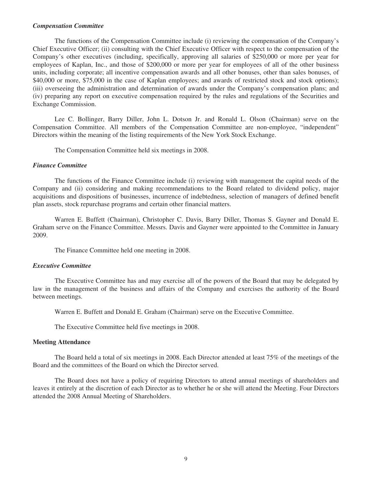#### *Compensation Committee*

The functions of the Compensation Committee include (i) reviewing the compensation of the Company's Chief Executive Officer; (ii) consulting with the Chief Executive Officer with respect to the compensation of the Company's other executives (including, specifically, approving all salaries of \$250,000 or more per year for employees of Kaplan, Inc., and those of \$200,000 or more per year for employees of all of the other business units, including corporate; all incentive compensation awards and all other bonuses, other than sales bonuses, of \$40,000 or more, \$75,000 in the case of Kaplan employees; and awards of restricted stock and stock options); (iii) overseeing the administration and determination of awards under the Company's compensation plans; and (iv) preparing any report on executive compensation required by the rules and regulations of the Securities and Exchange Commission.

Lee C. Bollinger, Barry Diller, John L. Dotson Jr. and Ronald L. Olson (Chairman) serve on the Compensation Committee. All members of the Compensation Committee are non-employee, "independent" Directors within the meaning of the listing requirements of the New York Stock Exchange.

The Compensation Committee held six meetings in 2008.

#### *Finance Committee*

The functions of the Finance Committee include (i) reviewing with management the capital needs of the Company and (ii) considering and making recommendations to the Board related to dividend policy, major acquisitions and dispositions of businesses, incurrence of indebtedness, selection of managers of defined benefit plan assets, stock repurchase programs and certain other financial matters.

Warren E. Buffett (Chairman), Christopher C. Davis, Barry Diller, Thomas S. Gayner and Donald E. Graham serve on the Finance Committee. Messrs. Davis and Gayner were appointed to the Committee in January 2009.

The Finance Committee held one meeting in 2008.

#### *Executive Committee*

The Executive Committee has and may exercise all of the powers of the Board that may be delegated by law in the management of the business and affairs of the Company and exercises the authority of the Board between meetings.

Warren E. Buffett and Donald E. Graham (Chairman) serve on the Executive Committee.

The Executive Committee held five meetings in 2008.

#### **Meeting Attendance**

The Board held a total of six meetings in 2008. Each Director attended at least 75% of the meetings of the Board and the committees of the Board on which the Director served.

The Board does not have a policy of requiring Directors to attend annual meetings of shareholders and leaves it entirely at the discretion of each Director as to whether he or she will attend the Meeting. Four Directors attended the 2008 Annual Meeting of Shareholders.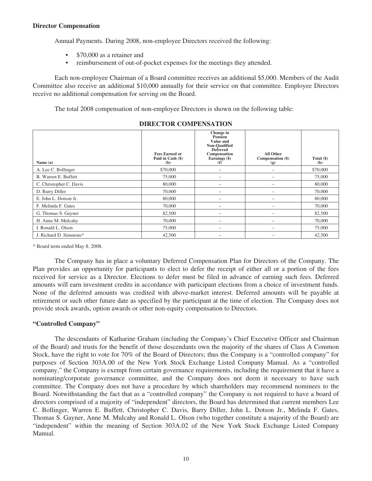#### **Director Compensation**

Annual Payments. During 2008, non-employee Directors received the following:

- \$70,000 as a retainer and
- reimbursement of out-of-pocket expenses for the meetings they attended.

Each non-employee Chairman of a Board committee receives an additional \$5,000. Members of the Audit Committee also receive an additional \$10,000 annually for their service on that committee. Employee Directors receive no additional compensation for serving on the Board.

The total 2008 compensation of non-employee Directors is shown on the following table:

| Name (a)                | <b>Fees Earned or</b><br>Paid in Cash (\$)<br>(b) | Change in<br><b>Pension</b><br>Value and<br>Non-Qualified<br><b>Deferred</b><br>Compensation<br>Earnings (\$)<br>(f) | All Other<br>Compensation (\$)<br>(g) | Total $(\$)$<br>(h) |
|-------------------------|---------------------------------------------------|----------------------------------------------------------------------------------------------------------------------|---------------------------------------|---------------------|
| A. Lee C. Bollinger     | \$70,000                                          |                                                                                                                      | $\overline{\phantom{m}}$              | \$70,000            |
| B. Warren E. Buffett    | 75,000                                            |                                                                                                                      |                                       | 75,000              |
| C. Christopher C. Davis | 80,000                                            |                                                                                                                      |                                       | 80,000              |
| D. Barry Diller         | 70,000                                            |                                                                                                                      |                                       | 70,000              |
| E. John L. Dotson Jr.   | 80,000                                            |                                                                                                                      |                                       | 80,000              |
| F. Melinda F. Gates     | 70,000                                            |                                                                                                                      |                                       | 70,000              |
| G. Thomas S. Gayner     | 82,500                                            |                                                                                                                      |                                       | 82,500              |
| H. Anne M. Mulcahy      | 70,000                                            |                                                                                                                      |                                       | 70,000              |
| I. Ronald L. Olson      | 75,000                                            |                                                                                                                      |                                       | 75,000              |
| J. Richard D. Simmons*  | 42,500                                            |                                                                                                                      |                                       | 42,500              |

#### **DIRECTOR COMPENSATION**

\* Board term ended May 8, 2008.

The Company has in place a voluntary Deferred Compensation Plan for Directors of the Company. The Plan provides an opportunity for participants to elect to defer the receipt of either all or a portion of the fees received for service as a Director. Elections to defer must be filed in advance of earning such fees. Deferred amounts will earn investment credits in accordance with participant elections from a choice of investment funds. None of the deferred amounts was credited with above-market interest. Deferred amounts will be payable at retirement or such other future date as specified by the participant at the time of election. The Company does not provide stock awards, option awards or other non-equity compensation to Directors.

#### **"Controlled Company"**

The descendants of Katharine Graham (including the Company's Chief Executive Officer and Chairman of the Board) and trusts for the benefit of those descendants own the majority of the shares of Class A Common Stock, have the right to vote for 70% of the Board of Directors; thus the Company is a "controlled company" for purposes of Section 303A.00 of the New York Stock Exchange Listed Company Manual. As a "controlled company," the Company is exempt from certain governance requirements, including the requirement that it have a nominating/corporate governance committee, and the Company does not deem it necessary to have such committee. The Company does not have a procedure by which shareholders may recommend nominees to the Board. Notwithstanding the fact that as a "controlled company" the Company is not required to have a board of directors comprised of a majority of "independent" directors, the Board has determined that current members Lee C. Bollinger, Warren E. Buffett, Christopher C. Davis, Barry Diller, John L. Dotson Jr., Melinda F. Gates, Thomas S. Gayner, Anne M. Mulcahy and Ronald L. Olson (who together constitute a majority of the Board) are "independent" within the meaning of Section 303A.02 of the New York Stock Exchange Listed Company Manual.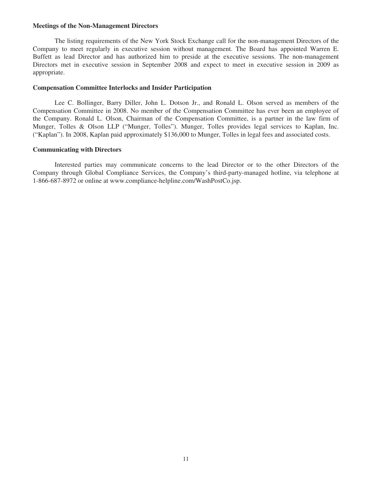#### **Meetings of the Non-Management Directors**

The listing requirements of the New York Stock Exchange call for the non-management Directors of the Company to meet regularly in executive session without management. The Board has appointed Warren E. Buffett as lead Director and has authorized him to preside at the executive sessions. The non-management Directors met in executive session in September 2008 and expect to meet in executive session in 2009 as appropriate.

#### **Compensation Committee Interlocks and Insider Participation**

Lee C. Bollinger, Barry Diller, John L. Dotson Jr., and Ronald L. Olson served as members of the Compensation Committee in 2008. No member of the Compensation Committee has ever been an employee of the Company. Ronald L. Olson, Chairman of the Compensation Committee, is a partner in the law firm of Munger, Tolles & Olson LLP ("Munger, Tolles"). Munger, Tolles provides legal services to Kaplan, Inc. ("Kaplan"). In 2008, Kaplan paid approximately \$136,000 to Munger, Tolles in legal fees and associated costs.

#### **Communicating with Directors**

Interested parties may communicate concerns to the lead Director or to the other Directors of the Company through Global Compliance Services, the Company's third-party-managed hotline, via telephone at 1-866-687-8972 or online at www.compliance-helpline.com/WashPostCo.jsp.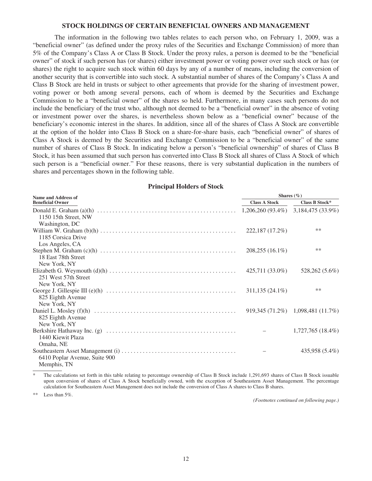#### **STOCK HOLDINGS OF CERTAIN BENEFICIAL OWNERS AND MANAGEMENT**

The information in the following two tables relates to each person who, on February 1, 2009, was a "beneficial owner" (as defined under the proxy rules of the Securities and Exchange Commission) of more than 5% of the Company's Class A or Class B Stock. Under the proxy rules, a person is deemed to be the "beneficial owner" of stock if such person has (or shares) either investment power or voting power over such stock or has (or shares) the right to acquire such stock within 60 days by any of a number of means, including the conversion of another security that is convertible into such stock. A substantial number of shares of the Company's Class A and Class B Stock are held in trusts or subject to other agreements that provide for the sharing of investment power, voting power or both among several persons, each of whom is deemed by the Securities and Exchange Commission to be a "beneficial owner" of the shares so held. Furthermore, in many cases such persons do not include the beneficiary of the trust who, although not deemed to be a "beneficial owner" in the absence of voting or investment power over the shares, is nevertheless shown below as a "beneficial owner" because of the beneficiary's economic interest in the shares. In addition, since all of the shares of Class A Stock are convertible at the option of the holder into Class B Stock on a share-for-share basis, each "beneficial owner" of shares of Class A Stock is deemed by the Securities and Exchange Commission to be a "beneficial owner" of the same number of shares of Class B Stock. In indicating below a person's "beneficial ownership" of shares of Class B Stock, it has been assumed that such person has converted into Class B Stock all shares of Class A Stock of which such person is a "beneficial owner." For these reasons, there is very substantial duplication in the numbers of shares and percentages shown in the following table.

#### **Name and Address of Beneficial Owner Shares (%) Class A Stock Class B Stock\*** Donald E. Graham (a)(h) .............................................. 1,206,260 (93.4%) 3,184,475 (33.9%) 1150 15th Street, NW Washington, DC William W. Graham (b)(h) ............................................. 222,187 (17.2%) \*\* 1185 Corsica Drive Los Angeles, CA Stephen M. Graham (c)(h) ............................................. 208,255 (16.1%) \*\* 18 East 78th Street New York, NY Elizabeth G. Weymouth (d)(h) .......................................... 425,711 (33.0%) 528,262 (5.6%) 251 West 57th Street New York, NY George J. Gillespie III (e)(h) ........................................... 311,135 (24.1%) \*\* 825 Eighth Avenue New York, NY Daniel L. Mosley (f)(h) ............................................... 919,345 (71.2%) 1,098,481 (11.7%) 825 Eighth Avenue New York, NY Berkshire Hathaway Inc. (g) ........................................... – 1,727,765 (18.4%) 1440 Kiewit Plaza Omaha, NE Southeastern Asset Management (i) ...................................... – 435,958 (5.4%) 6410 Poplar Avenue, Suite 900 Memphis, TN

**Principal Holders of Stock**

The calculations set forth in this table relating to percentage ownership of Class B Stock include 1,291,693 shares of Class B Stock issuable upon conversion of shares of Class A Stock beneficially owned, with the exception of Southeastern Asset Management. The percentage calculation for Southeastern Asset Management does not include the conversion of Class A shares to Class B shares.

Less than  $5\%$ .

*(Footnotes continued on following page.)*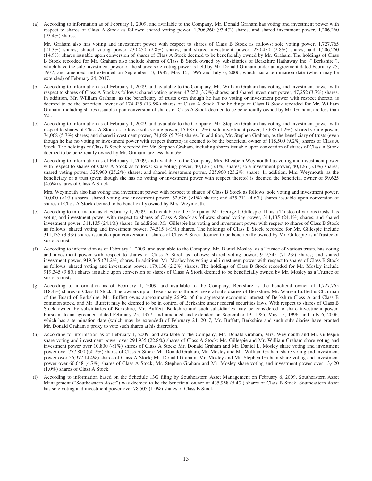(a) According to information as of February 1, 2009, and available to the Company, Mr. Donald Graham has voting and investment power with respect to shares of Class A Stock as follows: shared voting power, 1,206,260 (93.4%) shares; and shared investment power, 1,206,260 (93.4%) shares.

Mr. Graham also has voting and investment power with respect to shares of Class B Stock as follows: sole voting power, 1,727,765 (21.3%) shares; shared voting power 230,450 (2.8%) shares; and shared investment power, 230,450 (2.8%) shares; and 1,206,260 (14.9%) shares issuable upon conversion of shares of Class A Stock deemed to be beneficially owned by Mr. Graham. The holdings of Class B Stock recorded for Mr. Graham also include shares of Class B Stock owned by subsidiaries of Berkshire Hathaway Inc. ("Berkshire"), which have the sole investment power of the shares; sole voting power is held by Mr. Donald Graham under an agreement dated February 25, 1977, and amended and extended on September 13, 1985, May 15, 1996 and July 6, 2006, which has a termination date (which may be extended) of February 24, 2017.

- (b) According to information as of February 1, 2009, and available to the Company, Mr. William Graham has voting and investment power with respect to shares of Class A Stock as follows: shared voting power, 47,252 (3.7%) shares; and shared investment power, 47,252 (3.7%) shares. In addition, Mr. William Graham, as the beneficiary of trusts even though he has no voting or investment power with respect thereto, is deemed to be the beneficial owner of 174,935 (13.5%) shares of Class A Stock. The holdings of Class B Stock recorded for Mr. William Graham, including shares issuable upon conversion of shares of Class A Stock deemed to be beneficially owned by Mr. Graham, are less than 5%.
- (c) According to information as of February 1, 2009, and available to the Company, Mr. Stephen Graham has voting and investment power with respect to shares of Class A Stock as follows: sole voting power, 15,687 (1.2%); sole investment power, 15,687 (1.2%); shared voting power, 74,068 (5.7%) shares; and shared investment power, 74,068 (5.7%) shares. In addition, Mr. Stephen Graham, as the beneficiary of trusts (even though he has no voting or investment power with respect thereto) is deemed to be the beneficial owner of 118,500 (9.2%) shares of Class A Stock. The holdings of Class B Stock recorded for Mr. Stephen Graham, including shares issuable upon conversion of shares of Class A Stock deemed to be beneficially owned by Mr. Graham, are less than 5%.
- (d) According to information as of February 1, 2009, and available to the Company, Mrs. Elizabeth Weymouth has voting and investment power with respect to shares of Class A Stock as follows: sole voting power, 40,126 (3.1%) shares; sole investment power, 40,126 (3.1%) shares; shared voting power, 325,960 (25.2%) shares; and shared investment power, 325,960 (25.2%) shares. In addition, Mrs. Weymouth, as the beneficiary of a trust (even though she has no voting or investment power with respect thereto) is deemed the beneficial owner of 59,625 (4.6%) shares of Class A Stock.

Mrs. Weymouth also has voting and investment power with respect to shares of Class B Stock as follows: sole voting and investment power, 10,000 (<1%) shares; shared voting and investment power, 62,676 (<1%) shares; and 435,711 (4.6%) shares issuable upon conversion of shares of Class A Stock deemed to be beneficially owned by Mrs. Weymouth.

- (e) According to information as of February 1, 2009, and available to the Company, Mr. George J. Gillespie III, as a Trustee of various trusts, has voting and investment power with respect to shares of Class A Stock as follows: shared voting power, 311,135 (24.1%) shares; and shared investment power, 311,135 (24.1%) shares. In addition, Mr. Gillespie has voting and investment power with respect to shares of Class B Stock as follows: shared voting and investment power, 74,515 (<1%) shares. The holdings of Class B Stock recorded for Mr. Gillespie include 311,135 (3.3%) shares issuable upon conversion of shares of Class A Stock deemed to be beneficially owned by Mr. Gillespie as a Trustee of various trusts.
- (f) According to information as of February 1, 2009, and available to the Company, Mr. Daniel Mosley, as a Trustee of various trusts, has voting and investment power with respect to shares of Class A Stock as follows: shared voting power, 919,345 (71.2%) shares; and shared investment power, 919,345 (71.2%) shares. In addition, Mr. Mosley has voting and investment power with respect to shares of Class B Stock as follows: shared voting and investment power, 179,136 (2.2%) shares. The holdings of Class B Stock recorded for Mr. Mosley include 919,345 (9.8%) shares issuable upon conversion of shares of Class A Stock deemed to be beneficially owned by Mr. Mosley as a Trustee of various trusts.
- (g) According to information as of February 1, 2009, and available to the Company, Berkshire is the beneficial owner of 1,727,765 (18.4%) shares of Class B Stock. The ownership of these shares is through several subsidiaries of Berkshire. Mr. Warren Buffett is Chairman of the Board of Berkshire. Mr. Buffett owns approximately 26.9% of the aggregate economic interest of Berkshire Class A and Class B common stock, and Mr. Buffett may be deemed to be in control of Berkshire under federal securities laws. With respect to shares of Class B Stock owned by subsidiaries of Berkshire, Mr. Buffett, Berkshire and such subsidiaries may be considered to share investment power. Pursuant to an agreement dated February 25, 1977, and amended and extended on September 13, 1985, May 15, 1996, and July 6, 2006, which has a termination date (which may be extended) of February 24, 2017, Mr. Buffett, Berkshire and such subsidiaries have granted Mr. Donald Graham a proxy to vote such shares at his discretion.
- (h) According to information as of February 1, 2009, and available to the Company, Mr. Donald Graham, Mrs. Weymouth and Mr. Gillespie share voting and investment power over 294,935 (22.8%) shares of Class A Stock; Mr. Gillespie and Mr. William Graham share voting and investment power over 10,800 (<1%) shares of Class A Stock; Mr. Donald Graham and Mr. Daniel L. Mosley share voting and investment power over 777,800 (60.2%) shares of Class A Stock; Mr. Donald Graham, Mr. Mosley and Mr. William Graham share voting and investment power over 56,977 (4.4%) shares of Class A Stock; Mr. Donald Graham, Mr. Mosley and Mr. Stephen Graham share voting and investment power over 60,648 (4.7%) shares of Class A Stock; Mr. Stephen Graham and Mr. Mosley share voting and investment power over 13,420 (1.0%) shares of Class A Stock.
- (i) According to information based on the Schedule 13G filing by Southeastern Asset Management on February 6, 2009, Southeastern Asset Management ("Southeastern Asset") was deemed to be the beneficial owner of 435,958 (5.4%) shares of Class B Stock. Southeastern Asset has sole voting and investment power over 78,505 (1.0%) shares of Class B Stock.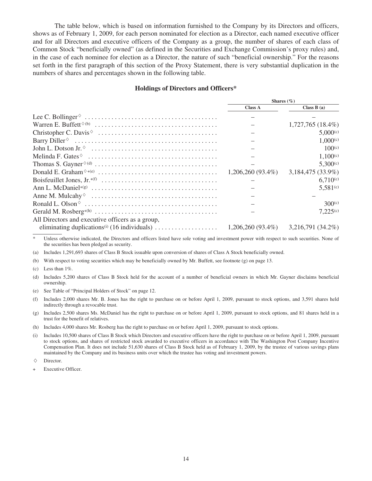The table below, which is based on information furnished to the Company by its Directors and officers, shows as of February 1, 2009, for each person nominated for election as a Director, each named executive officer and for all Directors and executive officers of the Company as a group, the number of shares of each class of Common Stock "beneficially owned" (as defined in the Securities and Exchange Commission's proxy rules) and, in the case of each nominee for election as a Director, the nature of such "beneficial ownership." For the reasons set forth in the first paragraph of this section of the Proxy Statement, there is very substantial duplication in the numbers of shares and percentages shown in the following table.

#### **Holdings of Directors and Officers\***

|                                                                                                  |                          | Shares $(\% )$      |
|--------------------------------------------------------------------------------------------------|--------------------------|---------------------|
|                                                                                                  | <b>Class A</b>           | Class $B(a)$        |
|                                                                                                  |                          |                     |
|                                                                                                  |                          | $1,727,765(18.4\%)$ |
|                                                                                                  |                          | 5,000(c)            |
|                                                                                                  |                          | $1,000^{(c)}$       |
|                                                                                                  |                          | 100 <sup>(c)</sup>  |
| Melinda F. Gates $\circ \dots \dots \dots \dots \dots \dots \dots \dots \dots \dots \dots \dots$ |                          | $1.100^{(c)}$       |
|                                                                                                  | $\overline{\phantom{0}}$ | $5,300^{(c)}$       |
|                                                                                                  |                          | 3,184,475 (33.9%)   |
|                                                                                                  |                          | $6,710^{(c)}$       |
|                                                                                                  |                          | $5,581^{(c)}$       |
|                                                                                                  |                          |                     |
|                                                                                                  |                          | 300(c)              |
|                                                                                                  |                          | $7,225^{(c)}$       |
| All Directors and executive officers as a group,                                                 |                          |                     |
|                                                                                                  |                          |                     |

\* Unless otherwise indicated, the Directors and officers listed have sole voting and investment power with respect to such securities. None of the securities has been pledged as security.

(a) Includes 1,291,693 shares of Class B Stock issuable upon conversion of shares of Class A Stock beneficially owned.

(b) With respect to voting securities which may be beneficially owned by Mr. Buffett, see footnote (g) on page 13.

(c) Less than  $1\%$ .

(d) Includes 5,200 shares of Class B Stock held for the account of a number of beneficial owners in which Mr. Gayner disclaims beneficial ownership.

(e) See Table of "Principal Holders of Stock" on page 12.

(f) Includes 2,000 shares Mr. B. Jones has the right to purchase on or before April 1, 2009, pursuant to stock options, and 3,591 shares held indirectly through a revocable trust.

(g) Includes 2,500 shares Ms. McDaniel has the right to purchase on or before April 1, 2009, pursuant to stock options, and 81 shares held in a trust for the benefit of relatives.

(h) Includes 4,000 shares Mr. Rosberg has the right to purchase on or before April 1, 2009, pursuant to stock options.

(i) Includes 10,500 shares of Class B Stock which Directors and executive officers have the right to purchase on or before April 1, 2009, pursuant to stock options, and shares of restricted stock awarded to executive officers in accordance with The Washington Post Company Incentive Compensation Plan. It does not include 51,630 shares of Class B Stock held as of February 1, 2009, by the trustee of various savings plans maintained by the Company and its business units over which the trustee has voting and investment powers.

 $\Diamond$  Director.

Executive Officer.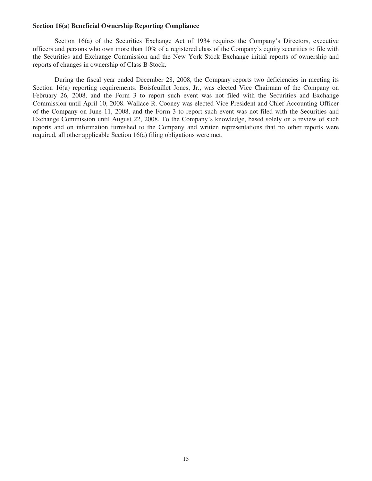#### **Section 16(a) Beneficial Ownership Reporting Compliance**

Section 16(a) of the Securities Exchange Act of 1934 requires the Company's Directors, executive officers and persons who own more than 10% of a registered class of the Company's equity securities to file with the Securities and Exchange Commission and the New York Stock Exchange initial reports of ownership and reports of changes in ownership of Class B Stock.

During the fiscal year ended December 28, 2008, the Company reports two deficiencies in meeting its Section 16(a) reporting requirements. Boisfeuillet Jones, Jr., was elected Vice Chairman of the Company on February 26, 2008, and the Form 3 to report such event was not filed with the Securities and Exchange Commission until April 10, 2008. Wallace R. Cooney was elected Vice President and Chief Accounting Officer of the Company on June 11, 2008, and the Form 3 to report such event was not filed with the Securities and Exchange Commission until August 22, 2008. To the Company's knowledge, based solely on a review of such reports and on information furnished to the Company and written representations that no other reports were required, all other applicable Section 16(a) filing obligations were met.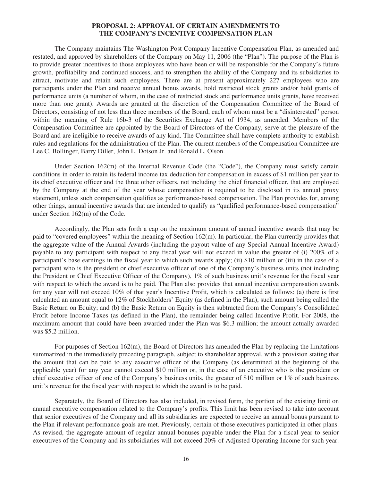#### **PROPOSAL 2: APPROVAL OF CERTAIN AMENDMENTS TO THE COMPANY'S INCENTIVE COMPENSATION PLAN**

The Company maintains The Washington Post Company Incentive Compensation Plan, as amended and restated, and approved by shareholders of the Company on May 11, 2006 (the "Plan"). The purpose of the Plan is to provide greater incentives to those employees who have been or will be responsible for the Company's future growth, profitability and continued success, and to strengthen the ability of the Company and its subsidiaries to attract, motivate and retain such employees. There are at present approximately 227 employees who are participants under the Plan and receive annual bonus awards, hold restricted stock grants and/or hold grants of performance units (a number of whom, in the case of restricted stock and performance units grants, have received more than one grant). Awards are granted at the discretion of the Compensation Committee of the Board of Directors, consisting of not less than three members of the Board, each of whom must be a "disinterested" person within the meaning of Rule 16b-3 of the Securities Exchange Act of 1934, as amended. Members of the Compensation Committee are appointed by the Board of Directors of the Company, serve at the pleasure of the Board and are ineligible to receive awards of any kind. The Committee shall have complete authority to establish rules and regulations for the administration of the Plan. The current members of the Compensation Committee are Lee C. Bollinger, Barry Diller, John L. Dotson Jr. and Ronald L. Olson.

Under Section 162(m) of the Internal Revenue Code (the "Code"), the Company must satisfy certain conditions in order to retain its federal income tax deduction for compensation in excess of \$1 million per year to its chief executive officer and the three other officers, not including the chief financial officer, that are employed by the Company at the end of the year whose compensation is required to be disclosed in its annual proxy statement, unless such compensation qualifies as performance-based compensation. The Plan provides for, among other things, annual incentive awards that are intended to qualify as "qualified performance-based compensation" under Section 162(m) of the Code.

Accordingly, the Plan sets forth a cap on the maximum amount of annual incentive awards that may be paid to "covered employees" within the meaning of Section 162(m). In particular, the Plan currently provides that the aggregate value of the Annual Awards (including the payout value of any Special Annual Incentive Award) payable to any participant with respect to any fiscal year will not exceed in value the greater of (i) 200% of a participant's base earnings in the fiscal year to which such awards apply; (ii) \$10 million or (iii) in the case of a participant who is the president or chief executive officer of one of the Company's business units (not including the President or Chief Executive Officer of the Company), 1% of such business unit's revenue for the fiscal year with respect to which the award is to be paid. The Plan also provides that annual incentive compensation awards for any year will not exceed 10% of that year's Incentive Profit, which is calculated as follows: (a) there is first calculated an amount equal to 12% of Stockholders' Equity (as defined in the Plan), such amount being called the Basic Return on Equity; and (b) the Basic Return on Equity is then subtracted from the Company's Consolidated Profit before Income Taxes (as defined in the Plan), the remainder being called Incentive Profit. For 2008, the maximum amount that could have been awarded under the Plan was \$6.3 million; the amount actually awarded was \$5.2 million.

For purposes of Section  $162(m)$ , the Board of Directors has amended the Plan by replacing the limitations summarized in the immediately preceding paragraph, subject to shareholder approval, with a provision stating that the amount that can be paid to any executive officer of the Company (as determined at the beginning of the applicable year) for any year cannot exceed \$10 million or, in the case of an executive who is the president or chief executive officer of one of the Company's business units, the greater of \$10 million or  $1\%$  of such business unit's revenue for the fiscal year with respect to which the award is to be paid.

Separately, the Board of Directors has also included, in revised form, the portion of the existing limit on annual executive compensation related to the Company's profits. This limit has been revised to take into account that senior executives of the Company and all its subsidiaries are expected to receive an annual bonus pursuant to the Plan if relevant performance goals are met. Previously, certain of those executives participated in other plans. As revised, the aggregate amount of regular annual bonuses payable under the Plan for a fiscal year to senior executives of the Company and its subsidiaries will not exceed 20% of Adjusted Operating Income for such year.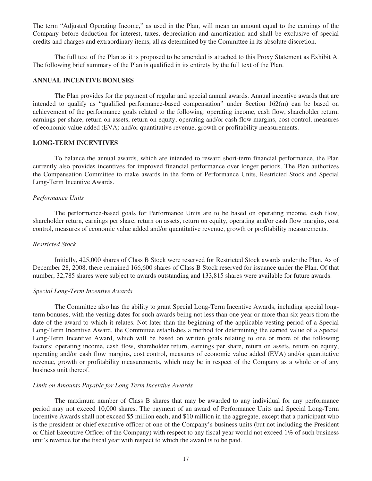The term "Adjusted Operating Income," as used in the Plan, will mean an amount equal to the earnings of the Company before deduction for interest, taxes, depreciation and amortization and shall be exclusive of special credits and charges and extraordinary items, all as determined by the Committee in its absolute discretion.

The full text of the Plan as it is proposed to be amended is attached to this Proxy Statement as Exhibit A. The following brief summary of the Plan is qualified in its entirety by the full text of the Plan.

#### **ANNUAL INCENTIVE BONUSES**

The Plan provides for the payment of regular and special annual awards. Annual incentive awards that are intended to qualify as "qualified performance-based compensation" under Section 162(m) can be based on achievement of the performance goals related to the following: operating income, cash flow, shareholder return, earnings per share, return on assets, return on equity, operating and/or cash flow margins, cost control, measures of economic value added (EVA) and/or quantitative revenue, growth or profitability measurements.

#### **LONG-TERM INCENTIVES**

To balance the annual awards, which are intended to reward short-term financial performance, the Plan currently also provides incentives for improved financial performance over longer periods. The Plan authorizes the Compensation Committee to make awards in the form of Performance Units, Restricted Stock and Special Long-Term Incentive Awards.

#### *Performance Units*

The performance-based goals for Performance Units are to be based on operating income, cash flow, shareholder return, earnings per share, return on assets, return on equity, operating and/or cash flow margins, cost control, measures of economic value added and/or quantitative revenue, growth or profitability measurements.

#### *Restricted Stock*

Initially, 425,000 shares of Class B Stock were reserved for Restricted Stock awards under the Plan. As of December 28, 2008, there remained 166,600 shares of Class B Stock reserved for issuance under the Plan. Of that number, 32,785 shares were subject to awards outstanding and 133,815 shares were available for future awards.

#### *Special Long-Term Incentive Awards*

The Committee also has the ability to grant Special Long-Term Incentive Awards, including special longterm bonuses, with the vesting dates for such awards being not less than one year or more than six years from the date of the award to which it relates. Not later than the beginning of the applicable vesting period of a Special Long-Term Incentive Award, the Committee establishes a method for determining the earned value of a Special Long-Term Incentive Award, which will be based on written goals relating to one or more of the following factors: operating income, cash flow, shareholder return, earnings per share, return on assets, return on equity, operating and/or cash flow margins, cost control, measures of economic value added (EVA) and/or quantitative revenue, growth or profitability measurements, which may be in respect of the Company as a whole or of any business unit thereof.

#### *Limit on Amounts Payable for Long Term Incentive Awards*

The maximum number of Class B shares that may be awarded to any individual for any performance period may not exceed 10,000 shares. The payment of an award of Performance Units and Special Long-Term Incentive Awards shall not exceed \$5 million each, and \$10 million in the aggregate, except that a participant who is the president or chief executive officer of one of the Company's business units (but not including the President or Chief Executive Officer of the Company) with respect to any fiscal year would not exceed 1% of such business unit's revenue for the fiscal year with respect to which the award is to be paid.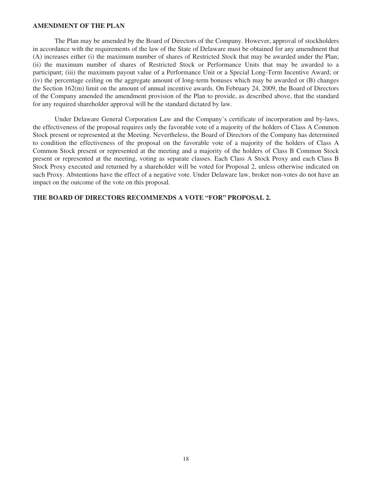#### **AMENDMENT OF THE PLAN**

The Plan may be amended by the Board of Directors of the Company. However, approval of stockholders in accordance with the requirements of the law of the State of Delaware must be obtained for any amendment that (A) increases either (i) the maximum number of shares of Restricted Stock that may be awarded under the Plan; (ii) the maximum number of shares of Restricted Stock or Performance Units that may be awarded to a participant; (iii) the maximum payout value of a Performance Unit or a Special Long-Term Incentive Award; or (iv) the percentage ceiling on the aggregate amount of long-term bonuses which may be awarded or (B) changes the Section 162(m) limit on the amount of annual incentive awards. On February 24, 2009, the Board of Directors of the Company amended the amendment provision of the Plan to provide, as described above, that the standard for any required shareholder approval will be the standard dictated by law.

Under Delaware General Corporation Law and the Company's certificate of incorporation and by-laws, the effectiveness of the proposal requires only the favorable vote of a majority of the holders of Class A Common Stock present or represented at the Meeting. Nevertheless, the Board of Directors of the Company has determined to condition the effectiveness of the proposal on the favorable vote of a majority of the holders of Class A Common Stock present or represented at the meeting and a majority of the holders of Class B Common Stock present or represented at the meeting, voting as separate classes. Each Class A Stock Proxy and each Class B Stock Proxy executed and returned by a shareholder will be voted for Proposal 2, unless otherwise indicated on such Proxy. Abstentions have the effect of a negative vote. Under Delaware law, broker non-votes do not have an impact on the outcome of the vote on this proposal.

#### **THE BOARD OF DIRECTORS RECOMMENDS A VOTE "FOR" PROPOSAL 2.**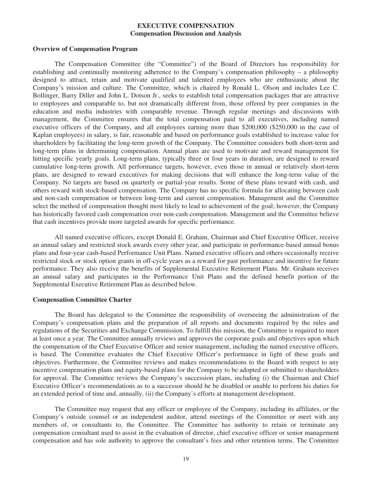#### **EXECUTIVE COMPENSATION Compensation Discussion and Analysis**

#### **Overview of Compensation Program**

The Compensation Committee (the "Committee") of the Board of Directors has responsibility for establishing and continually monitoring adherence to the Company's compensation philosophy – a philosophy designed to attract, retain and motivate qualified and talented employees who are enthusiastic about the Company's mission and culture. The Committee, which is chaired by Ronald L. Olson and includes Lee C. Bollinger, Barry Diller and John L. Dotson Jr., seeks to establish total compensation packages that are attractive to employees and comparable to, but not dramatically different from, those offered by peer companies in the education and media industries with comparable revenue. Through regular meetings and discussions with management, the Committee ensures that the total compensation paid to all executives, including named executive officers of the Company, and all employees earning more than \$200,000 (\$250,000 in the case of Kaplan employees) in salary, is fair, reasonable and based on performance goals established to increase value for shareholders by facilitating the long-term growth of the Company. The Committee considers both short-term and long-term plans in determining compensation. Annual plans are used to motivate and reward management for hitting specific yearly goals. Long-term plans, typically three or four years in duration, are designed to reward cumulative long-term growth. All performance targets, however, even those in annual or relatively short-term plans, are designed to reward executives for making decisions that will enhance the long-term value of the Company. No targets are based on quarterly or partial-year results. Some of these plans reward with cash, and others reward with stock-based compensation. The Company has no specific formula for allocating between cash and non-cash compensation or between long-term and current compensation. Management and the Committee select the method of compensation thought most likely to lead to achievement of the goal; however, the Company has historically favored cash compensation over non-cash compensation. Management and the Committee believe that cash incentives provide more targeted awards for specific performance.

All named executive officers, except Donald E. Graham, Chairman and Chief Executive Officer, receive an annual salary and restricted stock awards every other year, and participate in performance-based annual bonus plans and four-year cash-based Performance Unit Plans. Named executive officers and others occasionally receive restricted stock or stock option grants in off-cycle years as a reward for past performance and incentive for future performance. They also receive the benefits of Supplemental Executive Retirement Plans. Mr. Graham receives an annual salary and participates in the Performance Unit Plans and the defined benefit portion of the Supplemental Executive Retirement Plan as described below.

#### **Compensation Committee Charter**

The Board has delegated to the Committee the responsibility of overseeing the administration of the Company's compensation plans and the preparation of all reports and documents required by the rules and regulations of the Securities and Exchange Commission. To fulfill this mission, the Committee is required to meet at least once a year. The Committee annually reviews and approves the corporate goals and objectives upon which the compensation of the Chief Executive Officer and senior management, including the named executive officers, is based. The Committee evaluates the Chief Executive Officer's performance in light of these goals and objectives. Furthermore, the Committee reviews and makes recommendations to the Board with respect to any incentive compensation plans and equity-based plans for the Company to be adopted or submitted to shareholders for approval. The Committee reviews the Company's succession plans, including (i) the Chairman and Chief Executive Officer's recommendations as to a successor should he be disabled or unable to perform his duties for an extended period of time and, annually, (ii) the Company's efforts at management development.

The Committee may request that any officer or employee of the Company, including its affiliates, or the Company's outside counsel or an independent auditor, attend meetings of the Committee or meet with any members of, or consultants to, the Committee. The Committee has authority to retain or terminate any compensation consultant used to assist in the evaluation of director, chief executive officer or senior management compensation and has sole authority to approve the consultant's fees and other retention terms. The Committee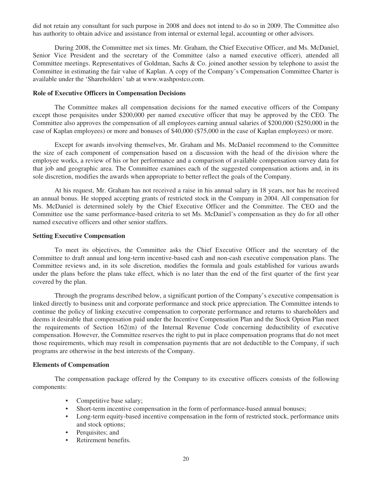did not retain any consultant for such purpose in 2008 and does not intend to do so in 2009. The Committee also has authority to obtain advice and assistance from internal or external legal, accounting or other advisors.

During 2008, the Committee met six times. Mr. Graham, the Chief Executive Officer, and Ms. McDaniel, Senior Vice President and the secretary of the Committee (also a named executive officer), attended all Committee meetings. Representatives of Goldman, Sachs & Co. joined another session by telephone to assist the Committee in estimating the fair value of Kaplan. A copy of the Company's Compensation Committee Charter is available under the 'Shareholders' tab at www.washpostco.com.

#### **Role of Executive Officers in Compensation Decisions**

The Committee makes all compensation decisions for the named executive officers of the Company except those perquisites under \$200,000 per named executive officer that may be approved by the CEO. The Committee also approves the compensation of all employees earning annual salaries of \$200,000 (\$250,000 in the case of Kaplan employees) or more and bonuses of \$40,000 (\$75,000 in the case of Kaplan employees) or more.

Except for awards involving themselves, Mr. Graham and Ms. McDaniel recommend to the Committee the size of each component of compensation based on a discussion with the head of the division where the employee works, a review of his or her performance and a comparison of available compensation survey data for that job and geographic area. The Committee examines each of the suggested compensation actions and, in its sole discretion, modifies the awards when appropriate to better reflect the goals of the Company.

At his request, Mr. Graham has not received a raise in his annual salary in 18 years, nor has he received an annual bonus. He stopped accepting grants of restricted stock in the Company in 2004. All compensation for Ms. McDaniel is determined solely by the Chief Executive Officer and the Committee. The CEO and the Committee use the same performance-based criteria to set Ms. McDaniel's compensation as they do for all other named executive officers and other senior staffers.

#### **Setting Executive Compensation**

To meet its objectives, the Committee asks the Chief Executive Officer and the secretary of the Committee to draft annual and long-term incentive-based cash and non-cash executive compensation plans. The Committee reviews and, in its sole discretion, modifies the formula and goals established for various awards under the plans before the plans take effect, which is no later than the end of the first quarter of the first year covered by the plan.

Through the programs described below, a significant portion of the Company's executive compensation is linked directly to business unit and corporate performance and stock price appreciation. The Committee intends to continue the policy of linking executive compensation to corporate performance and returns to shareholders and deems it desirable that compensation paid under the Incentive Compensation Plan and the Stock Option Plan meet the requirements of Section 162(m) of the Internal Revenue Code concerning deductibility of executive compensation. However, the Committee reserves the right to put in place compensation programs that do not meet those requirements, which may result in compensation payments that are not deductible to the Company, if such programs are otherwise in the best interests of the Company.

#### **Elements of Compensation**

The compensation package offered by the Company to its executive officers consists of the following components:

- Competitive base salary;
- Short-term incentive compensation in the form of performance-based annual bonuses;
- Long-term equity-based incentive compensation in the form of restricted stock, performance units and stock options;
- Perquisites; and
- Retirement benefits.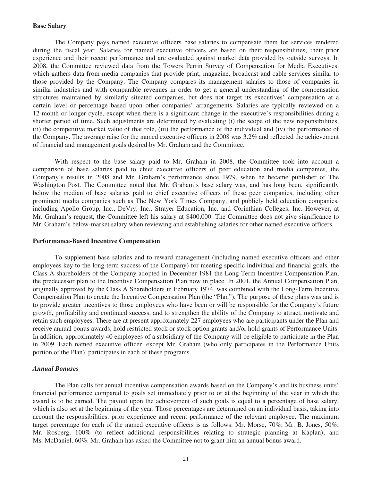#### **Base Salary**

The Company pays named executive officers base salaries to compensate them for services rendered during the fiscal year. Salaries for named executive officers are based on their responsibilities, their prior experience and their recent performance and are evaluated against market data provided by outside surveys. In 2008, the Committee reviewed data from the Towers Perrin Survey of Compensation for Media Executives, which gathers data from media companies that provide print, magazine, broadcast and cable services similar to those provided by the Company. The Company compares its management salaries to those of companies in similar industries and with comparable revenues in order to get a general understanding of the compensation structures maintained by similarly situated companies, but does not target its executives' compensation at a certain level or percentage based upon other companies' arrangements. Salaries are typically reviewed on a 12-month or longer cycle, except when there is a significant change in the executive's responsibilities during a shorter period of time. Such adjustments are determined by evaluating (i) the scope of the new responsibilities, (ii) the competitive market value of that role, (iii) the performance of the individual and (iv) the performance of the Company. The average raise for the named executive officers in 2008 was 3.2% and reflected the achievement of financial and management goals desired by Mr. Graham and the Committee.

With respect to the base salary paid to Mr. Graham in 2008, the Committee took into account a comparison of base salaries paid to chief executive officers of peer education and media companies, the Company's results in 2008 and Mr. Graham's performance since 1979, when he became publisher of The Washington Post. The Committee noted that Mr. Graham's base salary was, and has long been, significantly below the median of base salaries paid to chief executive officers of these peer companies, including other prominent media companies such as The New York Times Company, and publicly held education companies, including Apollo Group, Inc., DeVry, Inc., Strayer Education, Inc. and Corinthian Colleges, Inc. However, at Mr. Graham's request, the Committee left his salary at \$400,000. The Committee does not give significance to Mr. Graham's below-market salary when reviewing and establishing salaries for other named executive officers.

#### **Performance-Based Incentive Compensation**

To supplement base salaries and to reward management (including named executive officers and other employees key to the long-term success of the Company) for meeting specific individual and financial goals, the Class A shareholders of the Company adopted in December 1981 the Long-Term Incentive Compensation Plan, the predecessor plan to the Incentive Compensation Plan now in place. In 2001, the Annual Compensation Plan, originally approved by the Class A Shareholders in February 1974, was combined with the Long-Term Incentive Compensation Plan to create the Incentive Compensation Plan (the "Plan"). The purpose of these plans was and is to provide greater incentives to those employees who have been or will be responsible for the Company's future growth, profitability and continued success, and to strengthen the ability of the Company to attract, motivate and retain such employees. There are at present approximately 227 employees who are participants under the Plan and receive annual bonus awards, hold restricted stock or stock option grants and/or hold grants of Performance Units. In addition, approximately 40 employees of a subsidiary of the Company will be eligible to participate in the Plan in 2009. Each named executive officer, except Mr. Graham (who only participates in the Performance Units portion of the Plan), participates in each of these programs.

#### *Annual Bonuses*

The Plan calls for annual incentive compensation awards based on the Company's and its business units' financial performance compared to goals set immediately prior to or at the beginning of the year in which the award is to be earned. The payout upon the achievement of such goals is equal to a percentage of base salary, which is also set at the beginning of the year. Those percentages are determined on an individual basis, taking into account the responsibilities, prior experience and recent performance of the relevant employee. The maximum target percentage for each of the named executive officers is as follows: Mr. Morse, 70%; Mr. B. Jones, 50%; Mr. Rosberg, 100% (to reflect additional responsibilities relating to strategic planning at Kaplan); and Ms. McDaniel, 60%. Mr. Graham has asked the Committee not to grant him an annual bonus award.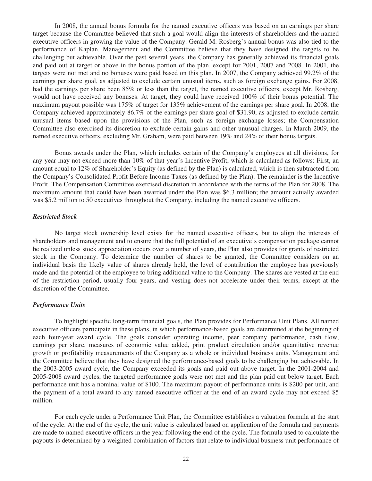In 2008, the annual bonus formula for the named executive officers was based on an earnings per share target because the Committee believed that such a goal would align the interests of shareholders and the named executive officers in growing the value of the Company. Gerald M. Rosberg's annual bonus was also tied to the performance of Kaplan. Management and the Committee believe that they have designed the targets to be challenging but achievable. Over the past several years, the Company has generally achieved its financial goals and paid out at target or above in the bonus portion of the plan, except for 2001, 2007 and 2008. In 2001, the targets were not met and no bonuses were paid based on this plan. In 2007, the Company achieved 99.2% of the earnings per share goal, as adjusted to exclude certain unusual items, such as foreign exchange gains. For 2008, had the earnings per share been 85% or less than the target, the named executive officers, except Mr. Rosberg, would not have received any bonuses. At target, they could have received 100% of their bonus potential. The maximum payout possible was 175% of target for 135% achievement of the earnings per share goal. In 2008, the Company achieved approximately 86.7% of the earnings per share goal of \$31.90, as adjusted to exclude certain unusual items based upon the provisions of the Plan, such as foreign exchange losses; the Compensation Committee also exercised its discretion to exclude certain gains and other unusual charges. In March 2009, the named executive officers, excluding Mr. Graham, were paid between 19% and 24% of their bonus targets.

Bonus awards under the Plan, which includes certain of the Company's employees at all divisions, for any year may not exceed more than 10% of that year's Incentive Profit, which is calculated as follows: First, an amount equal to 12% of Shareholder's Equity (as defined by the Plan) is calculated, which is then subtracted from the Company's Consolidated Profit Before Income Taxes (as defined by the Plan). The remainder is the Incentive Profit. The Compensation Committee exercised discretion in accordance with the terms of the Plan for 2008. The maximum amount that could have been awarded under the Plan was \$6.3 million; the amount actually awarded was \$5.2 million to 50 executives throughout the Company, including the named executive officers.

#### *Restricted Stock*

No target stock ownership level exists for the named executive officers, but to align the interests of shareholders and management and to ensure that the full potential of an executive's compensation package cannot be realized unless stock appreciation occurs over a number of years, the Plan also provides for grants of restricted stock in the Company. To determine the number of shares to be granted, the Committee considers on an individual basis the likely value of shares already held, the level of contribution the employee has previously made and the potential of the employee to bring additional value to the Company. The shares are vested at the end of the restriction period, usually four years, and vesting does not accelerate under their terms, except at the discretion of the Committee.

#### *Performance Units*

To highlight specific long-term financial goals, the Plan provides for Performance Unit Plans. All named executive officers participate in these plans, in which performance-based goals are determined at the beginning of each four-year award cycle. The goals consider operating income, peer company performance, cash flow, earnings per share, measures of economic value added, print product circulation and/or quantitative revenue growth or profitability measurements of the Company as a whole or individual business units. Management and the Committee believe that they have designed the performance-based goals to be challenging but achievable. In the 2003-2005 award cycle, the Company exceeded its goals and paid out above target. In the 2001-2004 and 2005-2008 award cycles, the targeted performance goals were not met and the plan paid out below target. Each performance unit has a nominal value of \$100. The maximum payout of performance units is \$200 per unit, and the payment of a total award to any named executive officer at the end of an award cycle may not exceed \$5 million.

For each cycle under a Performance Unit Plan, the Committee establishes a valuation formula at the start of the cycle. At the end of the cycle, the unit value is calculated based on application of the formula and payments are made to named executive officers in the year following the end of the cycle. The formula used to calculate the payouts is determined by a weighted combination of factors that relate to individual business unit performance of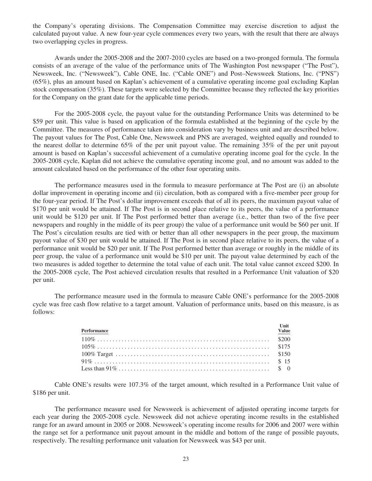the Company's operating divisions. The Compensation Committee may exercise discretion to adjust the calculated payout value. A new four-year cycle commences every two years, with the result that there are always two overlapping cycles in progress.

Awards under the 2005-2008 and the 2007-2010 cycles are based on a two-pronged formula. The formula consists of an average of the value of the performance units of The Washington Post newspaper ("The Post"), Newsweek, Inc. ("Newsweek"), Cable ONE, Inc. ("Cable ONE") and Post–Newsweek Stations, Inc. ("PNS") (65%), plus an amount based on Kaplan's achievement of a cumulative operating income goal excluding Kaplan stock compensation (35%). These targets were selected by the Committee because they reflected the key priorities for the Company on the grant date for the applicable time periods.

For the 2005-2008 cycle, the payout value for the outstanding Performance Units was determined to be \$59 per unit. This value is based on application of the formula established at the beginning of the cycle by the Committee. The measures of performance taken into consideration vary by business unit and are described below. The payout values for The Post, Cable One, Newsweek and PNS are averaged, weighted equally and rounded to the nearest dollar to determine 65% of the per unit payout value. The remaining 35% of the per unit payout amount is based on Kaplan's successful achievement of a cumulative operating income goal for the cycle. In the 2005-2008 cycle, Kaplan did not achieve the cumulative operating income goal, and no amount was added to the amount calculated based on the performance of the other four operating units.

The performance measures used in the formula to measure performance at The Post are (i) an absolute dollar improvement in operating income and (ii) circulation, both as compared with a five-member peer group for the four-year period. If The Post's dollar improvement exceeds that of all its peers, the maximum payout value of \$170 per unit would be attained. If The Post is in second place relative to its peers, the value of a performance unit would be \$120 per unit. If The Post performed better than average (i.e., better than two of the five peer newspapers and roughly in the middle of its peer group) the value of a performance unit would be \$60 per unit. If The Post's circulation results are tied with or better than all other newspapers in the peer group, the maximum payout value of \$30 per unit would be attained. If The Post is in second place relative to its peers, the value of a performance unit would be \$20 per unit. If The Post performed better than average or roughly in the middle of its peer group, the value of a performance unit would be \$10 per unit. The payout value determined by each of the two measures is added together to determine the total value of each unit. The total value cannot exceed \$200. In the 2005-2008 cycle, The Post achieved circulation results that resulted in a Performance Unit valuation of \$20 per unit.

The performance measure used in the formula to measure Cable ONE's performance for the 2005-2008 cycle was free cash flow relative to a target amount. Valuation of performance units, based on this measure, is as follows:

| Performance | Unit<br><b>Value</b> |
|-------------|----------------------|
|             |                      |
|             |                      |
|             |                      |
|             |                      |
|             |                      |

Cable ONE's results were 107.3% of the target amount, which resulted in a Performance Unit value of \$186 per unit.

The performance measure used for Newsweek is achievement of adjusted operating income targets for each year during the 2005-2008 cycle. Newsweek did not achieve operating income results in the established range for an award amount in 2005 or 2008. Newsweek's operating income results for 2006 and 2007 were within the range set for a performance unit payout amount in the middle and bottom of the range of possible payouts, respectively. The resulting performance unit valuation for Newsweek was \$43 per unit.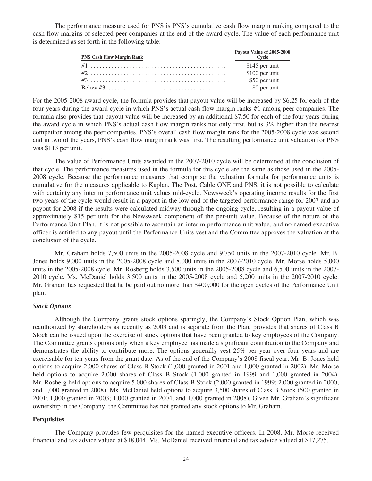The performance measure used for PNS is PNS's cumulative cash flow margin ranking compared to the cash flow margins of selected peer companies at the end of the award cycle. The value of each performance unit is determined as set forth in the following table:

| <b>PNS Cash Flow Margin Rank</b> | Payout Value of 2005-2008<br>Cycle |
|----------------------------------|------------------------------------|
|                                  | \$145 per unit                     |
|                                  | \$100 per unit                     |
|                                  | \$50 per unit                      |
|                                  | \$0 per unit                       |

For the 2005-2008 award cycle, the formula provides that payout value will be increased by \$6.25 for each of the four years during the award cycle in which PNS's actual cash flow margin ranks #1 among peer companies. The formula also provides that payout value will be increased by an additional \$7.50 for each of the four years during the award cycle in which PNS's actual cash flow margin ranks not only first, but is 3% higher than the nearest competitor among the peer companies. PNS's overall cash flow margin rank for the 2005-2008 cycle was second and in two of the years, PNS's cash flow margin rank was first. The resulting performance unit valuation for PNS was \$113 per unit.

The value of Performance Units awarded in the 2007-2010 cycle will be determined at the conclusion of that cycle. The performance measures used in the formula for this cycle are the same as those used in the 2005- 2008 cycle. Because the performance measures that comprise the valuation formula for performance units is cumulative for the measures applicable to Kaplan, The Post, Cable ONE and PNS, it is not possible to calculate with certainty any interim performance unit values mid-cycle. Newsweek's operating income results for the first two years of the cycle would result in a payout in the low end of the targeted performance range for 2007 and no payout for 2008 if the results were calculated midway through the ongoing cycle, resulting in a payout value of approximately \$15 per unit for the Newsweek component of the per-unit value. Because of the nature of the Performance Unit Plan, it is not possible to ascertain an interim performance unit value, and no named executive officer is entitled to any payout until the Performance Units vest and the Committee approves the valuation at the conclusion of the cycle.

Mr. Graham holds 7,500 units in the 2005-2008 cycle and 9,750 units in the 2007-2010 cycle. Mr. B. Jones holds 9,000 units in the 2005-2008 cycle and 8,000 units in the 2007-2010 cycle. Mr. Morse holds 5,000 units in the 2005-2008 cycle. Mr. Rosberg holds 3,500 units in the 2005-2008 cycle and 6,500 units in the 2007- 2010 cycle. Ms. McDaniel holds 3,500 units in the 2005-2008 cycle and 5,200 units in the 2007-2010 cycle. Mr. Graham has requested that he be paid out no more than \$400,000 for the open cycles of the Performance Unit plan.

#### *Stock Options*

Although the Company grants stock options sparingly, the Company's Stock Option Plan, which was reauthorized by shareholders as recently as 2003 and is separate from the Plan, provides that shares of Class B Stock can be issued upon the exercise of stock options that have been granted to key employees of the Company. The Committee grants options only when a key employee has made a significant contribution to the Company and demonstrates the ability to contribute more. The options generally vest 25% per year over four years and are exercisable for ten years from the grant date. As of the end of the Company's 2008 fiscal year, Mr. B. Jones held options to acquire 2,000 shares of Class B Stock (1,000 granted in 2001 and 1,000 granted in 2002). Mr. Morse held options to acquire 2,000 shares of Class B Stock (1,000 granted in 1999 and 1,000 granted in 2004). Mr. Rosberg held options to acquire 5,000 shares of Class B Stock (2,000 granted in 1999; 2,000 granted in 2000; and 1,000 granted in 2008). Ms. McDaniel held options to acquire 3,500 shares of Class B Stock (500 granted in 2001; 1,000 granted in 2003; 1,000 granted in 2004; and 1,000 granted in 2008). Given Mr. Graham's significant ownership in the Company, the Committee has not granted any stock options to Mr. Graham.

#### **Perquisites**

The Company provides few perquisites for the named executive officers. In 2008, Mr. Morse received financial and tax advice valued at \$18,044. Ms. McDaniel received financial and tax advice valued at \$17,275.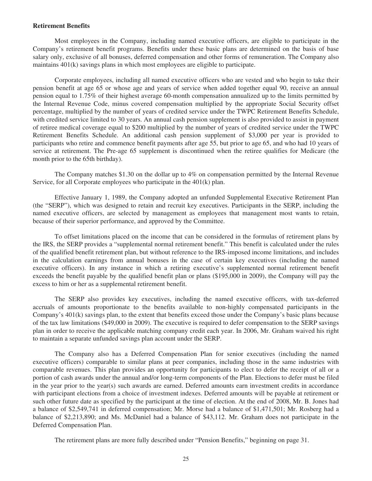#### **Retirement Benefits**

Most employees in the Company, including named executive officers, are eligible to participate in the Company's retirement benefit programs. Benefits under these basic plans are determined on the basis of base salary only, exclusive of all bonuses, deferred compensation and other forms of remuneration. The Company also maintains 401(k) savings plans in which most employees are eligible to participate.

Corporate employees, including all named executive officers who are vested and who begin to take their pension benefit at age 65 or whose age and years of service when added together equal 90, receive an annual pension equal to 1.75% of their highest average 60-month compensation annualized up to the limits permitted by the Internal Revenue Code, minus covered compensation multiplied by the appropriate Social Security offset percentage, multiplied by the number of years of credited service under the TWPC Retirement Benefits Schedule, with credited service limited to 30 years. An annual cash pension supplement is also provided to assist in payment of retiree medical coverage equal to \$200 multiplied by the number of years of credited service under the TWPC Retirement Benefits Schedule. An additional cash pension supplement of \$3,000 per year is provided to participants who retire and commence benefit payments after age 55, but prior to age 65, and who had 10 years of service at retirement. The Pre-age 65 supplement is discontinued when the retiree qualifies for Medicare (the month prior to the 65th birthday).

The Company matches \$1.30 on the dollar up to  $4\%$  on compensation permitted by the Internal Revenue Service, for all Corporate employees who participate in the 401(k) plan.

Effective January 1, 1989, the Company adopted an unfunded Supplemental Executive Retirement Plan (the "SERP"), which was designed to retain and recruit key executives. Participants in the SERP, including the named executive officers, are selected by management as employees that management most wants to retain, because of their superior performance, and approved by the Committee.

To offset limitations placed on the income that can be considered in the formulas of retirement plans by the IRS, the SERP provides a "supplemental normal retirement benefit." This benefit is calculated under the rules of the qualified benefit retirement plan, but without reference to the IRS-imposed income limitations, and includes in the calculation earnings from annual bonuses in the case of certain key executives (including the named executive officers). In any instance in which a retiring executive's supplemented normal retirement benefit exceeds the benefit payable by the qualified benefit plan or plans (\$195,000 in 2009), the Company will pay the excess to him or her as a supplemental retirement benefit.

The SERP also provides key executives, including the named executive officers, with tax-deferred accruals of amounts proportionate to the benefits available to non-highly compensated participants in the Company's 401(k) savings plan, to the extent that benefits exceed those under the Company's basic plans because of the tax law limitations (\$49,000 in 2009). The executive is required to defer compensation to the SERP savings plan in order to receive the applicable matching company credit each year. In 2006, Mr. Graham waived his right to maintain a separate unfunded savings plan account under the SERP.

The Company also has a Deferred Compensation Plan for senior executives (including the named executive officers) comparable to similar plans at peer companies, including those in the same industries with comparable revenues. This plan provides an opportunity for participants to elect to defer the receipt of all or a portion of cash awards under the annual and/or long-term components of the Plan. Elections to defer must be filed in the year prior to the year(s) such awards are earned. Deferred amounts earn investment credits in accordance with participant elections from a choice of investment indexes. Deferred amounts will be payable at retirement or such other future date as specified by the participant at the time of election. At the end of 2008, Mr. B. Jones had a balance of \$2,549,741 in deferred compensation; Mr. Morse had a balance of \$1,471,501; Mr. Rosberg had a balance of \$2,213,890; and Ms. McDaniel had a balance of \$43,112. Mr. Graham does not participate in the Deferred Compensation Plan.

The retirement plans are more fully described under "Pension Benefits," beginning on page 31.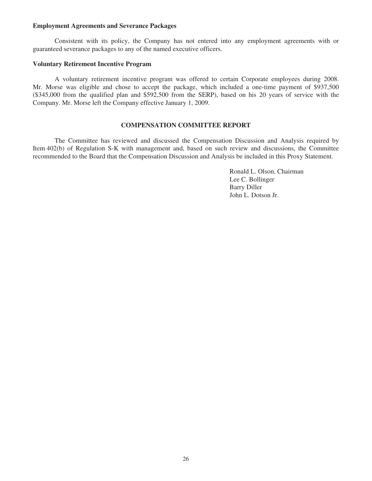#### **Employment Agreements and Severance Packages**

Consistent with its policy, the Company has not entered into any employment agreements with or guaranteed severance packages to any of the named executive officers.

#### **Voluntary Retirement Incentive Program**

A voluntary retirement incentive program was offered to certain Corporate employees during 2008. Mr. Morse was eligible and chose to accept the package, which included a one-time payment of \$937,500 (\$345,000 from the qualified plan and \$592,500 from the SERP), based on his 20 years of service with the Company. Mr. Morse left the Company effective January 1, 2009.

## **COMPENSATION COMMITTEE REPORT**

The Committee has reviewed and discussed the Compensation Discussion and Analysis required by Item 402(b) of Regulation S-K with management and, based on such review and discussions, the Committee recommended to the Board that the Compensation Discussion and Analysis be included in this Proxy Statement.

> Ronald L. Olson, Chairman Lee C. Bollinger Barry Diller John L. Dotson Jr.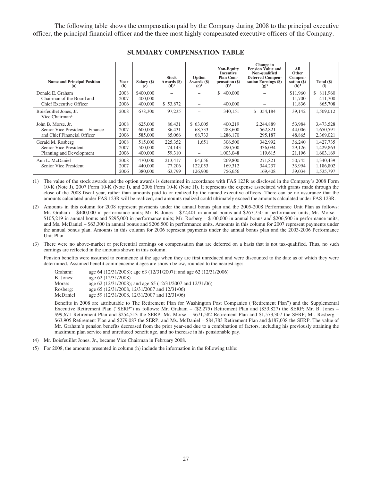The following table shows the compensation paid by the Company during 2008 to the principal executive officer, the principal financial officer and the three most highly compensated executive officers of the Company.

| <b>Name and Principal Position</b><br>(a)                                            | Year<br>(b)          | Salary (\$)<br>(c)              | <b>Stock</b><br>Awards (\$)<br>$(d)^1$ | Option<br>Awards (\$)<br>$(e)^1$ | <b>Non-Equity</b><br><b>Incentive</b><br><b>Plan Com-</b><br>pensation (\$)<br>$(f)^2$ | Change in<br>Pension Value and<br>Non-qualified<br><b>Deferred Compen-</b><br>sation Earnings (\$)<br>$(g)^3$ | All<br>Other<br>Compen-<br>sation (\$)<br>(h) <sup>5</sup> | Total $(\$)$<br>(i)                 |
|--------------------------------------------------------------------------------------|----------------------|---------------------------------|----------------------------------------|----------------------------------|----------------------------------------------------------------------------------------|---------------------------------------------------------------------------------------------------------------|------------------------------------------------------------|-------------------------------------|
| Donald E. Graham<br>Chairman of the Board and<br><b>Chief Executive Officer</b>      | 2008<br>2007<br>2006 | \$400,000<br>400,000<br>400,000 | \$53,872                               | $\qquad \qquad$                  | 400,000<br>\$<br>400,000                                                               |                                                                                                               | \$11,960<br>11,700<br>11,836                               | \$<br>811,960<br>411,700<br>865,708 |
| Boisfeuillet Jones, Jr.<br>Vice Chairman <sup>4</sup>                                | 2008                 | 678,300                         | 97,235                                 |                                  | 340,151                                                                                | \$ 354,184                                                                                                    | 39.142                                                     | 1,509,012                           |
| John B. Morse, Jr.<br>Senior Vice President – Finance<br>and Chief Financial Officer | 2008<br>2007<br>2006 | 625,000<br>600,000<br>585,000   | 86.431<br>86,431<br>85,066             | \$63,005<br>68.733<br>68,733     | 400.219<br>288,600<br>1,286,170                                                        | 2.244.889<br>562,821<br>295,187                                                                               | 53,984<br>44,006<br>48,865                                 | 3,473,528<br>1,650,591<br>2,369,021 |
| Gerald M. Rosberg<br>Senior Vice President -<br>Planning and Development             | 2008<br>2007<br>2006 | 515,000<br>500,000<br>400,000   | 225,352<br>74,143<br>59,310            | 1,651                            | 306,500<br>490,500<br>1,003,048                                                        | 342,992<br>336,094<br>119,615                                                                                 | 36,240<br>29,126<br>21,196                                 | 1,427,735<br>1,429,863<br>1,603,169 |
| Ann L. McDaniel<br>Senior Vice President                                             | 2008<br>2007<br>2006 | 470,000<br>440,000<br>380,000   | 213.417<br>77,206<br>63,799            | 64.656<br>122,053<br>126,900     | 269,800<br>169,312<br>756,656                                                          | 271.821<br>344,237<br>169,408                                                                                 | 50.745<br>33,994<br>39,034                                 | 1,340,439<br>1,186,802<br>1,535,797 |

#### **SUMMARY COMPENSATION TABLE**

(1) The value of the stock awards and the option awards is determined in accordance with FAS 123R as disclosed in the Company's 2008 Form 10-K (Note J), 2007 Form 10-K (Note I), and 2006 Form 10-K (Note H). It represents the expense associated with grants made through the close of the 2008 fiscal year, rather than amounts paid to or realized by the named executive officers. There can be no assurance that the amounts calculated under FAS 123R will be realized, and amounts realized could ultimately exceed the amounts calculated under FAS 123R.

(2) Amounts in this column for 2008 represent payments under the annual bonus plan and the 2005-2008 Performance Unit Plan as follows: Mr. Graham – \$400,000 in performance units; Mr. B. Jones – \$72,401 in annual bonus and \$267,750 in performance units; Mr. Morse – \$105,219 in annual bonus and \$295,000 in performance units; Mr. Rosberg – \$100,000 in annual bonus and \$206,500 in performance units; and Ms. McDaniel – \$63,300 in annual bonus and \$206,500 in performance units. Amounts in this column for 2007 represent payments under the annual bonus plan. Amounts in this column for 2006 represent payments under the annual bonus plan and the 2003-2006 Performance Unit Plan.

(3) There were no above-market or preferential earnings on compensation that are deferred on a basis that is not tax-qualified. Thus, no such earnings are reflected in the amounts shown in this column.

Pension benefits were assumed to commence at the age when they are first unreduced and were discounted to the date as of which they were determined. Assumed benefit commencement ages are shown below, rounded to the nearest age:

| Graham:   | age 64 (12/31/2008); age 63 (12/31/2007); and age 62 (12/31/2006) |
|-----------|-------------------------------------------------------------------|
| B. Jones: | age 62 (12/31/2008)                                               |
| Morse:    | age 62 (12/31/2008); and age 65 (12/31/2007 and 12/31/06)         |
| Rosberg:  | age 65 (12/31/2008, 12/31/2007 and 12/31/06)                      |
| McDaniel: | age 59 (12/31/2008, 12/31/2007 and 12/31/06)                      |

Benefits in 2008 are attributable to The Retirement Plan for Washington Post Companies ("Retirement Plan") and the Supplemental Executive Retirement Plan ("SERP") as follows: Mr. Graham – (\$2,275) Retirement Plan and (\$53,827) the SERP; Mr. B. Jones – \$99,671 Retirement Plan and \$254,513 the SERP; Mr. Morse – \$671,582 Retirement Plan and \$1,573,307 the SERP; Mr. Rosberg – \$63,905 Retirement Plan and \$279,087 the SERP; and Ms. McDaniel – \$84,783 Retirement Plan and \$187,038 the SERP. The value of Mr. Graham's pension benefits decreased from the prior year-end due to a combination of factors, including his previously attaining the maximum plan service and unreduced benefit age, and no increase in his pensionable pay.

- (4) Mr. Boisfeuillet Jones, Jr., became Vice Chairman in February 2008.
- (5) For 2008, the amounts presented in column (h) include the information in the following table: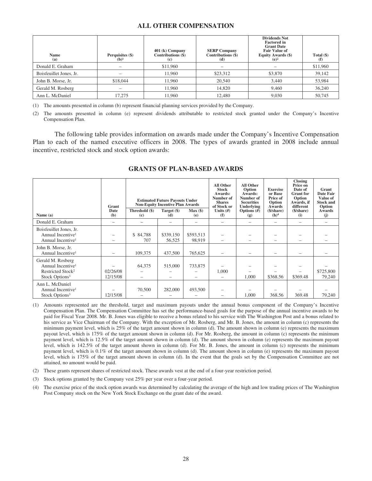### **ALL OTHER COMPENSATION**

| <b>Name</b><br>(a)      | Perquisites (\$)<br>$(b)^1$ | $401$ (k) Company<br>Contributions (\$)<br>$\left( \mathbf{c} \right)$ | <b>SERP Company</b><br>Contributions (\$)<br>(d) | <b>Dividends Not</b><br><b>Factored</b> in<br><b>Grant Date</b><br><b>Fair Value of</b><br>Equity Awards (\$)<br>$(e)^2$ | Total $(\$)$<br>(f) |
|-------------------------|-----------------------------|------------------------------------------------------------------------|--------------------------------------------------|--------------------------------------------------------------------------------------------------------------------------|---------------------|
| Donald E. Graham        |                             | \$11,960                                                               |                                                  |                                                                                                                          | \$11,960            |
| Boisfeuillet Jones, Jr. |                             | 11.960                                                                 | \$23,312                                         | \$3,870                                                                                                                  | 39,142              |
| John B. Morse, Jr.      | \$18,044                    | 11,960                                                                 | 20,540                                           | 3.440                                                                                                                    | 53,984              |
| Gerald M. Rosberg       |                             | 11.960                                                                 | 14.820                                           | 9.460                                                                                                                    | 36,240              |
| Ann L. McDaniel         | 17.275                      | 11.960                                                                 | 12.480                                           | 9.030                                                                                                                    | 50,745              |

(1) The amounts presented in column (b) represent financial planning services provided by the Company.

(2) The amounts presented in column (e) represent dividends attributable to restricted stock granted under the Company's Incentive Compensation Plan.

The following table provides information on awards made under the Company's Incentive Compensation Plan to each of the named executive officers in 2008. The types of awards granted in 2008 include annual incentive, restricted stock and stock option awards:

|                                                                                                                   | Grant<br>Date        | Threshold (\$)           | <b>Estimated Future Payouts Under</b><br><b>Non-Equity Incentive Plan Awards</b><br>Target (\$) | Max(                | <b>All Other</b><br><b>Stock</b><br>Awards:<br>Number of<br><b>Shares</b><br>of Stock or<br>Units $(f)$ | All Other<br>Option<br>Awards:<br>Number of<br><b>Securities</b><br><b>Underlying</b> | <b>Exercise</b><br>or Base<br>Price of<br>Option<br>Awards<br>(\$/share) | <b>Closing</b><br>Price on<br>Date of<br><b>Grant</b> for<br>Option<br>Awards, if<br>different<br>(\$/share) | Grant<br><b>Date Fair</b><br>Value of<br><b>Stock and</b><br>Option<br>Awards |
|-------------------------------------------------------------------------------------------------------------------|----------------------|--------------------------|-------------------------------------------------------------------------------------------------|---------------------|---------------------------------------------------------------------------------------------------------|---------------------------------------------------------------------------------------|--------------------------------------------------------------------------|--------------------------------------------------------------------------------------------------------------|-------------------------------------------------------------------------------|
| Name $(a)$                                                                                                        | (b)                  | (c)                      | (d)                                                                                             | (e)                 | (f)                                                                                                     | Options $#)$<br>(g)                                                                   | (h) <sup>4</sup>                                                         | (i)                                                                                                          | (i)                                                                           |
| Donald E. Graham                                                                                                  |                      | $\overline{\phantom{0}}$ |                                                                                                 |                     | $\qquad \qquad$                                                                                         |                                                                                       |                                                                          | -                                                                                                            |                                                                               |
| Boisfeuillet Jones, Jr.<br>Annual Incentive <sup>1</sup><br>Annual Incentive <sup>1</sup>                         |                      | \$84,788<br>707          | \$339,150<br>56,525                                                                             | \$593,513<br>98,919 | $\qquad \qquad -$                                                                                       |                                                                                       |                                                                          |                                                                                                              |                                                                               |
| John B. Morse, Jr.<br>Annual Incentive <sup>1</sup>                                                               |                      | 109,375                  | 437,500                                                                                         | 765,625             |                                                                                                         |                                                                                       | $\overline{\phantom{0}}$                                                 | $\overline{\phantom{0}}$                                                                                     |                                                                               |
| Gerald M. Rosberg<br>Annual Incentive <sup>1</sup><br>Restricted Stock <sup>2</sup><br>Stock Options <sup>3</sup> | 02/26/08<br>12/15/08 | 64,375                   | 515,000                                                                                         | 733,875             | 1,000<br>$\qquad \qquad$                                                                                | 1,000                                                                                 | \$368.56                                                                 | \$369.48                                                                                                     | \$725,800<br>79,240                                                           |
| Ann L. McDaniel<br>Annual Incentive <sup>1</sup><br>Stock Options <sup>3</sup>                                    | 12/15/08             | 70,500                   | 282,000                                                                                         | 493,500             | $\overline{\phantom{0}}$                                                                                | 1,000                                                                                 | 368.56                                                                   | 369.48                                                                                                       | 79,240                                                                        |

#### **GRANTS OF PLAN-BASED AWARDS**

(1) Amounts represented are the threshold, target and maximum payouts under the annual bonus component of the Company's Incentive Compensation Plan. The Compensation Committee has set the performance-based goals for the purpose of the annual incentive awards to be paid for Fiscal Year 2008. Mr. B. Jones was eligible to receive a bonus related to his service with The Washington Post and a bonus related to his service as Vice Chairman of the Company. With the exception of Mr. Rosberg, and Mr. B. Jones, the amount in column (c) represents the minimum payment level, which is 25% of the target amount shown in column (d). The amount shown in column (e) represents the maximum payout level, which is 175% of the target amount shown in column (d). For Mr. Rosberg, the amount in column (c) represents the minimum payment level, which is 12.5% of the target amount shown in column (d). The amount shown in column (e) represents the maximum payout level, which is 142.5% of the target amount shown in column (d). For Mr. B. Jones, the amount in column (c) represents the minimum payment level, which is 0.1% of the target amount shown in column (d). The amount shown in column (e) represents the maximum payout level, which is 175% of the target amount shown in column (d). In the event that the goals set by the Compensation Committee are not attained, no amount would be paid.

- (2) These grants represent shares of restricted stock. These awards vest at the end of a four-year restriction period.
- (3) Stock options granted by the Company vest 25% per year over a four-year period.
- (4) The exercise price of the stock option awards was determined by calculating the average of the high and low trading prices of The Washington Post Company stock on the New York Stock Exchange on the grant date of the award.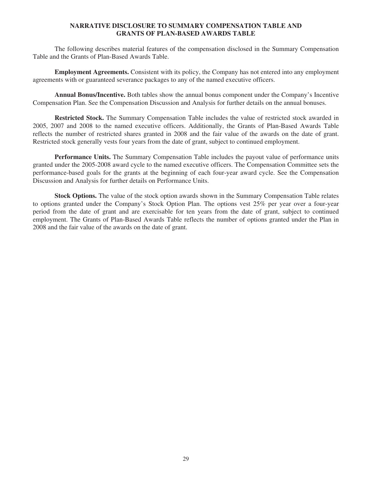## **NARRATIVE DISCLOSURE TO SUMMARY COMPENSATION TABLE AND GRANTS OF PLAN-BASED AWARDS TABLE**

The following describes material features of the compensation disclosed in the Summary Compensation Table and the Grants of Plan-Based Awards Table.

**Employment Agreements.** Consistent with its policy, the Company has not entered into any employment agreements with or guaranteed severance packages to any of the named executive officers.

**Annual Bonus/Incentive.** Both tables show the annual bonus component under the Company's Incentive Compensation Plan. See the Compensation Discussion and Analysis for further details on the annual bonuses.

**Restricted Stock.** The Summary Compensation Table includes the value of restricted stock awarded in 2005, 2007 and 2008 to the named executive officers. Additionally, the Grants of Plan-Based Awards Table reflects the number of restricted shares granted in 2008 and the fair value of the awards on the date of grant. Restricted stock generally vests four years from the date of grant, subject to continued employment.

**Performance Units.** The Summary Compensation Table includes the payout value of performance units granted under the 2005-2008 award cycle to the named executive officers. The Compensation Committee sets the performance-based goals for the grants at the beginning of each four-year award cycle. See the Compensation Discussion and Analysis for further details on Performance Units.

**Stock Options.** The value of the stock option awards shown in the Summary Compensation Table relates to options granted under the Company's Stock Option Plan. The options vest 25% per year over a four-year period from the date of grant and are exercisable for ten years from the date of grant, subject to continued employment. The Grants of Plan-Based Awards Table reflects the number of options granted under the Plan in 2008 and the fair value of the awards on the date of grant.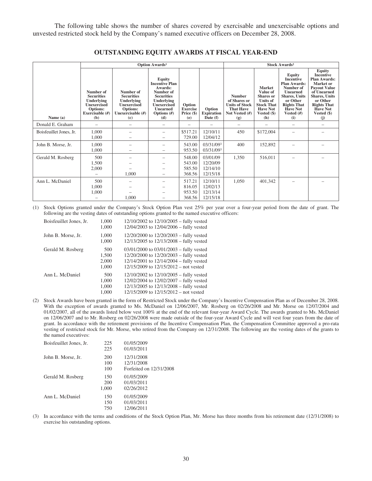The following table shows the number of shares covered by exercisable and unexercisable options and unvested restricted stock held by the Company's named executive officers on December 28, 2008.

|                         |                                                                                                          |                                                                                                            | <b>Option Awards1</b>                                                                                                                                              |                                                |                                              |                                                                                                     |                                                                                                                                  | <b>Stock Awards<sup>2</sup></b>                                                                                                                                                               |                                                                                                                                                                                                                  |
|-------------------------|----------------------------------------------------------------------------------------------------------|------------------------------------------------------------------------------------------------------------|--------------------------------------------------------------------------------------------------------------------------------------------------------------------|------------------------------------------------|----------------------------------------------|-----------------------------------------------------------------------------------------------------|----------------------------------------------------------------------------------------------------------------------------------|-----------------------------------------------------------------------------------------------------------------------------------------------------------------------------------------------|------------------------------------------------------------------------------------------------------------------------------------------------------------------------------------------------------------------|
| Name (a)                | Number of<br><b>Securities</b><br>Underlying<br><b>Unexercised</b><br>Options:<br>Exercisable (#)<br>(b) | Number of<br><b>Securities</b><br>Underlying<br><b>Unexercised</b><br>Options:<br>Unexercisable (#)<br>(c) | Equity<br><b>Incentive Plan</b><br>Awards:<br>Number of<br><b>Securities</b><br><b>Underlying</b><br><b>Unexercised</b><br><b>Unearned</b><br>Options $(H)$<br>(d) | Option<br><b>Exercise</b><br>Price (\$)<br>(e) | Option<br><b>Expiration</b><br>Date (f)      | <b>Number</b><br>of Shares or<br><b>Units of Stock</b><br><b>That Have</b><br>Not Vested (#)<br>(g) | <b>Market</b><br>Value of<br><b>Shares</b> or<br><b>Units of</b><br><b>Stock That</b><br><b>Have Not</b><br>Vested $(\$)$<br>(h) | <b>Equity</b><br><b>Incentive</b><br><b>Plan Awards:</b><br>Number of<br><b>Unearned</b><br><b>Shares</b> , Units<br>or Other<br><b>Rights That</b><br><b>Have Not</b><br>Vested $(f)$<br>(i) | <b>Equity</b><br><b>Incentive</b><br><b>Plan Awards:</b><br>Market or<br><b>Payout Value</b><br>of Unearned<br><b>Shares, Units</b><br>or Other<br><b>Rights That</b><br><b>Have Not</b><br>Vested $(\$)$<br>(i) |
| Donald E. Graham        | $\overline{\phantom{0}}$                                                                                 | -                                                                                                          | $\overline{\phantom{0}}$                                                                                                                                           |                                                |                                              | $\overline{\phantom{0}}$                                                                            |                                                                                                                                  | $\overline{\phantom{0}}$                                                                                                                                                                      | -                                                                                                                                                                                                                |
| Boisfeuillet Jones, Jr. | 1,000<br>1,000                                                                                           |                                                                                                            |                                                                                                                                                                    | \$517.21<br>729.00                             | 12/10/11<br>12/04/12                         | 450                                                                                                 | \$172,004                                                                                                                        |                                                                                                                                                                                               |                                                                                                                                                                                                                  |
| John B. Morse, Jr.      | 1.000<br>1.000                                                                                           |                                                                                                            |                                                                                                                                                                    | 543.00<br>953.50                               | 03/31/093<br>03/31/093                       | 400                                                                                                 | 152,892                                                                                                                          |                                                                                                                                                                                               |                                                                                                                                                                                                                  |
| Gerald M. Rosberg       | 500<br>1,500<br>2,000                                                                                    | 1,000                                                                                                      |                                                                                                                                                                    | 548.00<br>543.00<br>585.50<br>368.56           | 03/01/09<br>12/20/09<br>12/14/10<br>12/15/18 | 1,350                                                                                               | 516,011                                                                                                                          |                                                                                                                                                                                               |                                                                                                                                                                                                                  |
| Ann L. McDaniel         | 500<br>1,000<br>1,000                                                                                    | 1.000                                                                                                      |                                                                                                                                                                    | 517.21<br>816.05<br>953.50<br>368.56           | 12/10/11<br>12/02/13<br>12/13/14<br>12/15/18 | 1,050                                                                                               | 401,342                                                                                                                          |                                                                                                                                                                                               |                                                                                                                                                                                                                  |

#### **OUTSTANDING EQUITY AWARDS AT FISCAL YEAR-END**

(1) Stock Options granted under the Company's Stock Option Plan vest 25% per year over a four-year period from the date of grant. The following are the vesting dates of outstanding options granted to the named executive officers:

| Boisfeuillet Jones, Jr. | 1,000<br>1,000                 | $12/10/2002$ to $12/10/2005$ – fully vested<br>$12/04/2003$ to $12/04/2006$ – fully vested                                                                                         |
|-------------------------|--------------------------------|------------------------------------------------------------------------------------------------------------------------------------------------------------------------------------|
| John B. Morse, Jr.      | 1,000<br>1,000                 | $12/20/2000$ to $12/20/2003$ – fully vested<br>$12/13/2005$ to $12/13/2008$ – fully vested                                                                                         |
| Gerald M. Rosberg       | 500<br>1,500<br>2,000<br>1,000 | $03/01/2000$ to $03/01/2003$ – fully vested<br>12/20/2000 to 12/20/2003 - fully vested<br>$12/14/2001$ to $12/14/2004$ – fully vested<br>$12/15/2009$ to $12/15/2012$ – not vested |
| Ann L. McDaniel         | 500<br>1,000<br>1,000<br>1,000 | $12/10/2002$ to $12/10/2005$ – fully vested<br>12/02/2004 to 12/02/2007 - fully vested<br>12/13/2005 to 12/13/2008 - fully vested<br>$12/15/2009$ to $12/15/2012$ – not vested     |

(2) Stock Awards have been granted in the form of Restricted Stock under the Company's Incentive Compensation Plan as of December 28, 2008. With the exception of awards granted to Ms. McDaniel on 12/06/2007, Mr. Rosberg on 02/26/2008 and Mr. Morse on 12/07/2004 and 01/02/2007, all of the awards listed below vest 100% at the end of the relevant four-year Award Cycle. The awards granted to Ms. McDaniel on 12/06/2007 and to Mr. Rosberg on 02/26/2008 were made outside of the four-year Award Cycle and will vest four years from the date of grant. In accordance with the retirement provisions of the Incentive Compensation Plan, the Compensation Committee approved a pro-rata vesting of restricted stock for Mr. Morse, who retired from the Company on 12/31/2008. The following are the vesting dates of the grants to the named executives:

| Boisfeuillet Jones, Jr. | 225<br>225        | 01/05/2009<br>01/03/2011               |
|-------------------------|-------------------|----------------------------------------|
| John B. Morse, Jr.      | 200<br>100        | 12/31/2008<br>12/31/2008               |
| Gerald M. Rosberg       | 100<br>150        | Forfeited on 12/31/2008<br>01/05/2009  |
|                         | 200<br>1,000      | 01/03/2011<br>02/26/2012               |
| Ann L. McDaniel         | 150<br>150<br>750 | 01/05/2009<br>01/03/2011<br>12/06/2011 |
|                         |                   |                                        |

(3) In accordance with the terms and conditions of the Stock Option Plan, Mr. Morse has three months from his retirement date (12/31/2008) to exercise his outstanding options.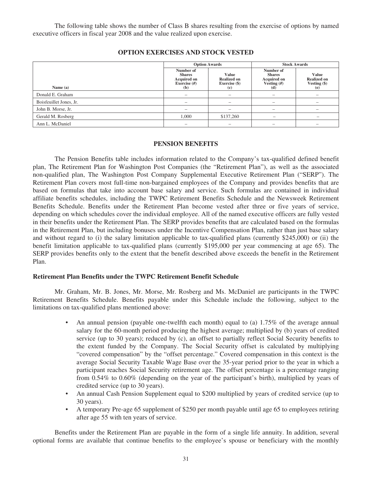The following table shows the number of Class B shares resulting from the exercise of options by named executive officers in fiscal year 2008 and the value realized upon exercise.

|--|

|                         | <b>Option Awards</b>                                             |                                                     | <b>Stock Awards</b>                                             |                                                      |
|-------------------------|------------------------------------------------------------------|-----------------------------------------------------|-----------------------------------------------------------------|------------------------------------------------------|
| Name $(a)$              | Number of<br><b>Shares</b><br>Acquired on<br>Exercise (#)<br>(b) | Value<br><b>Realized on</b><br>Exercise (\$)<br>(c) | Number of<br><b>Shares</b><br>Acquired on<br>Vesting (#)<br>(d) | Value<br><b>Realized on</b><br>Vesting $(\$)$<br>(e) |
| Donald E. Graham        |                                                                  |                                                     |                                                                 | -                                                    |
| Boisfeuillet Jones, Jr. |                                                                  |                                                     |                                                                 |                                                      |
| John B. Morse, Jr.      |                                                                  |                                                     |                                                                 |                                                      |
| Gerald M. Rosberg       | 1,000                                                            | \$137,260                                           |                                                                 |                                                      |
| Ann L. McDaniel         | -                                                                |                                                     |                                                                 |                                                      |

#### **PENSION BENEFITS**

The Pension Benefits table includes information related to the Company's tax-qualified defined benefit plan, The Retirement Plan for Washington Post Companies (the "Retirement Plan"), as well as the associated non-qualified plan, The Washington Post Company Supplemental Executive Retirement Plan ("SERP"). The Retirement Plan covers most full-time non-bargained employees of the Company and provides benefits that are based on formulas that take into account base salary and service. Such formulas are contained in individual affiliate benefits schedules, including the TWPC Retirement Benefits Schedule and the Newsweek Retirement Benefits Schedule. Benefits under the Retirement Plan become vested after three or five years of service, depending on which schedules cover the individual employee. All of the named executive officers are fully vested in their benefits under the Retirement Plan. The SERP provides benefits that are calculated based on the formulas in the Retirement Plan, but including bonuses under the Incentive Compensation Plan, rather than just base salary and without regard to (i) the salary limitation applicable to tax-qualified plans (currently \$245,000) or (ii) the benefit limitation applicable to tax-qualified plans (currently \$195,000 per year commencing at age 65). The SERP provides benefits only to the extent that the benefit described above exceeds the benefit in the Retirement Plan.

#### **Retirement Plan Benefits under the TWPC Retirement Benefit Schedule**

Mr. Graham, Mr. B. Jones, Mr. Morse, Mr. Rosberg and Ms. McDaniel are participants in the TWPC Retirement Benefits Schedule. Benefits payable under this Schedule include the following, subject to the limitations on tax-qualified plans mentioned above:

- An annual pension (payable one-twelfth each month) equal to (a) 1.75% of the average annual salary for the 60-month period producing the highest average; multiplied by (b) years of credited service (up to 30 years); reduced by (c), an offset to partially reflect Social Security benefits to the extent funded by the Company. The Social Security offset is calculated by multiplying "covered compensation" by the "offset percentage." Covered compensation in this context is the average Social Security Taxable Wage Base over the 35-year period prior to the year in which a participant reaches Social Security retirement age. The offset percentage is a percentage ranging from 0.54% to 0.60% (depending on the year of the participant's birth), multiplied by years of credited service (up to 30 years).
- An annual Cash Pension Supplement equal to \$200 multiplied by years of credited service (up to 30 years).
- A temporary Pre-age 65 supplement of \$250 per month payable until age 65 to employees retiring after age 55 with ten years of service.

Benefits under the Retirement Plan are payable in the form of a single life annuity. In addition, several optional forms are available that continue benefits to the employee's spouse or beneficiary with the monthly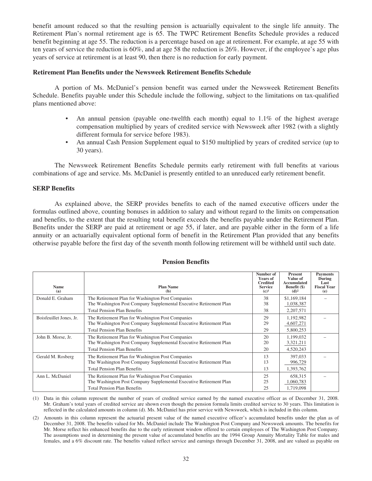benefit amount reduced so that the resulting pension is actuarially equivalent to the single life annuity. The Retirement Plan's normal retirement age is 65. The TWPC Retirement Benefits Schedule provides a reduced benefit beginning at age 55. The reduction is a percentage based on age at retirement. For example, at age 55 with ten years of service the reduction is 60%, and at age 58 the reduction is 26%. However, if the employee's age plus years of service at retirement is at least 90, then there is no reduction for early payment.

#### **Retirement Plan Benefits under the Newsweek Retirement Benefits Schedule**

A portion of Ms. McDaniel's pension benefit was earned under the Newsweek Retirement Benefits Schedule. Benefits payable under this Schedule include the following, subject to the limitations on tax-qualified plans mentioned above:

- An annual pension (payable one-twelfth each month) equal to 1.1% of the highest average compensation multiplied by years of credited service with Newsweek after 1982 (with a slightly different formula for service before 1983).
- An annual Cash Pension Supplement equal to \$150 multiplied by years of credited service (up to 30 years).

The Newsweek Retirement Benefits Schedule permits early retirement with full benefits at various combinations of age and service. Ms. McDaniel is presently entitled to an unreduced early retirement benefit.

#### **SERP Benefits**

As explained above, the SERP provides benefits to each of the named executive officers under the formulas outlined above, counting bonuses in addition to salary and without regard to the limits on compensation and benefits, to the extent that the resulting total benefit exceeds the benefits payable under the Retirement Plan. Benefits under the SERP are paid at retirement or age 55, if later, and are payable either in the form of a life annuity or an actuarially equivalent optional form of benefit in the Retirement Plan provided that any benefits otherwise payable before the first day of the seventh month following retirement will be withheld until such date.

|                         |                                                                    | Number of<br><b>Years of</b><br><b>Credited</b> | Present<br>Value of<br>Accumulated | <b>Payments</b><br>During<br>Last |
|-------------------------|--------------------------------------------------------------------|-------------------------------------------------|------------------------------------|-----------------------------------|
| <b>Name</b><br>(a)      | <b>Plan Name</b><br>(b)                                            | <b>Service</b><br>$(c)$ <sup>1</sup>            | Benefit (\$)<br>(d) <sup>2</sup>   | <b>Fiscal Year</b><br>(e)         |
| Donald E. Graham        | The Retirement Plan for Washington Post Companies                  | 38                                              | \$1,169,184                        |                                   |
|                         | The Washington Post Company Supplemental Executive Retirement Plan | 38                                              | 1,038,387                          |                                   |
|                         | <b>Total Pension Plan Benefits</b>                                 | 38                                              | 2,207,571                          |                                   |
| Boisfeuillet Jones, Jr. | The Retirement Plan for Washington Post Companies                  | 29                                              | 1,192,982                          |                                   |
|                         | The Washington Post Company Supplemental Executive Retirement Plan | 29                                              | 4,607,271                          |                                   |
|                         | <b>Total Pension Plan Benefits</b>                                 | 29                                              | 5,800,253                          |                                   |
| John B. Morse, Jr.      | The Retirement Plan for Washington Post Companies                  | 20                                              | 1,199,032                          |                                   |
|                         | The Washington Post Company Supplemental Executive Retirement Plan | 20                                              | 3,321,211                          |                                   |
|                         | <b>Total Pension Plan Benefits</b>                                 | 20                                              | 4,520,243                          |                                   |
| Gerald M. Rosberg       | The Retirement Plan for Washington Post Companies                  | 13                                              | 397,033                            |                                   |
|                         | The Washington Post Company Supplemental Executive Retirement Plan | 13                                              | 996,729                            |                                   |
|                         | <b>Total Pension Plan Benefits</b>                                 | 13                                              | 1,393,762                          |                                   |
| Ann L. McDaniel         | The Retirement Plan for Washington Post Companies                  | 25                                              | 658,315                            |                                   |
|                         | The Washington Post Company Supplemental Executive Retirement Plan | 25                                              | 1,060,783                          |                                   |
|                         | <b>Total Pension Plan Benefits</b>                                 | 25                                              | 1,719,098                          |                                   |

#### **Pension Benefits**

(1) Data in this column represent the number of years of credited service earned by the named executive officer as of December 31, 2008. Mr. Graham's total years of credited service are shown even though the pension formula limits credited service to 30 years. This limitation is reflected in the calculated amounts in column (d). Ms. McDaniel has prior service with Newsweek, which is included in this column.

(2) Amounts in this column represent the actuarial present value of the named executive officer's accumulated benefits under the plan as of December 31, 2008. The benefits valued for Ms. McDaniel include The Washington Post Company and Newsweek amounts. The benefits for Mr. Morse reflect his enhanced benefits due to the early retirement window offered to certain employees of The Washington Post Company. The assumptions used in determining the present value of accumulated benefits are the 1994 Group Annuity Mortality Table for males and females, and a 6% discount rate. The benefits valued reflect service and earnings through December 31, 2008, and are valued as payable on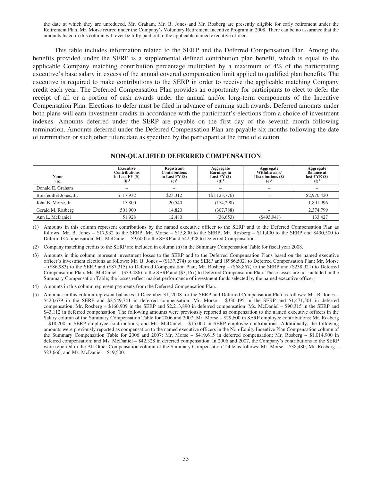the date at which they are unreduced. Mr. Graham, Mr. B. Jones and Mr. Rosberg are presently eligible for early retirement under the Retirement Plan. Mr. Morse retired under the Company's Voluntary Retirement Incentive Program in 2008. There can be no assurance that the amounts listed in this column will ever be fully paid out to the applicable named executive officer.

This table includes information related to the SERP and the Deferred Compensation Plan. Among the benefits provided under the SERP is a supplemental defined contribution plan benefit, which is equal to the applicable Company matching contribution percentage multiplied by a maximum of 4% of the participating executive's base salary in excess of the annual covered compensation limit applied to qualified plan benefits. The executive is required to make contributions to the SERP in order to receive the applicable matching Company credit each year. The Deferred Compensation Plan provides an opportunity for participants to elect to defer the receipt of all or a portion of cash awards under the annual and/or long-term components of the Incentive Compensation Plan. Elections to defer must be filed in advance of earning such awards. Deferred amounts under both plans will earn investment credits in accordance with the participant's elections from a choice of investment indexes. Amounts deferred under the SERP are payable on the first day of the seventh month following termination. Amounts deferred under the Deferred Compensation Plan are payable six months following the date of termination or such other future date as specified by the participant at the time of election.

#### **NON-QUALIFIED DEFERRED COMPENSATION**

| <b>Name</b><br>(a)      | <b>Executive</b><br><b>Contributions</b><br>in Last $FY($)$<br>$(b)$ <sup>1</sup> | Registrant<br><b>Contributions</b><br>in Last $FY($)$<br>(c) <sup>2</sup> | Aggregate<br><b>Earnings</b> in<br>Last $FY($)$<br>(d) <sup>3</sup> | Aggregate<br>Withdrawals/<br>Distributions (\$)<br>(e) <sup>4</sup> | Aggregate<br><b>Balance at</b><br>last $FYE$ (\$)<br>$(f)^5$ |
|-------------------------|-----------------------------------------------------------------------------------|---------------------------------------------------------------------------|---------------------------------------------------------------------|---------------------------------------------------------------------|--------------------------------------------------------------|
| Donald E. Graham        |                                                                                   |                                                                           |                                                                     |                                                                     |                                                              |
| Boisfeuillet Jones, Jr. | \$17,932                                                                          | \$23,312                                                                  | (\$1,123,776)                                                       |                                                                     | \$2,970,420                                                  |
| John B. Morse, Jr.      | 15,800                                                                            | 20,540                                                                    | (174, 298)                                                          |                                                                     | 1,801,996                                                    |
| Gerald M. Rosberg       | 501,900                                                                           | 14.820                                                                    | (307, 788)                                                          |                                                                     | 2,374,799                                                    |
| Ann L. McDaniel         | 51.928                                                                            | 12.480                                                                    | (36, 653)                                                           | $($ \$493,941)                                                      | 133,427                                                      |

(1) Amounts in this column represent contributions by the named executive officer to the SERP and to the Deferred Compensation Plan as follows: Mr. B. Jones – \$17,932 to the SERP; Mr. Morse – \$15,800 to the SERP; Mr. Rosberg – \$11,400 to the SERP and \$490,500 to Deferred Compensation; Ms. McDaniel – \$9,600 to the SERP and \$42,328 to Deferred Compensation.

(2) Company matching credits to the SERP are included in column (h) in the Summary Compensation Table for fiscal year 2008.

- (3) Amounts in this column represent investment losses to the SERP and to the Deferred Compensation Plans based on the named executive officer's investment elections as follows: Mr. B. Jones – (\$137,274) to the SERP and (\$986,502) to Deferred Compensation Plan; Mr. Morse – (\$86,983) to the SERP and (\$87,315) to Deferred Compensation Plan; Mr. Rosberg – (\$68,867) to the SERP and (\$238,921) to Deferred Compensation Plan; Ms. McDaniel – (\$33,486) to the SERP and (\$3,167) to Deferred Compensation Plan. These losses are not included in the Summary Compensation Table; the losses reflect market performance of investment funds selected by the named executive officer.
- (4) Amounts in this column represent payments from the Deferred Compensation Plan.
- (5) Amounts in this column represent balances at December 31, 2008 for the SERP and Deferred Compensation Plan as follows: Mr. B. Jones \$420,679 in the SERP and \$2,549,741 in deferred compensation; Mr. Morse – \$330,495 in the SERP and \$1,471,501 in deferred compensation; Mr. Rosberg – \$160,909 in the SERP and \$2,213,890 in deferred compensation; Ms. McDaniel – \$90,315 in the SERP and \$43,112 in deferred compensation. The following amounts were previously reported as compensation to the named executive officers in the Salary column of the Summary Compensation Table for 2006 and 2007: Mr. Morse – \$29,600 in SERP employee contributions; Mr. Rosberg – \$18,200 in SERP employee contributions; and Ms. McDaniel – \$15,000 in SERP employee contributions. Additionally, the following amounts were previously reported as compensation to the named executive officers in the Non-Equity Incentive Plan Compensation column of the Summary Compensation Table for 2006 and 2007: Mr. Morse – \$419,615 in deferred compensation; Mr. Rosberg – \$1,014,900 in deferred compensation; and Ms. McDaniel – \$42,328 in deferred compensation. In 2006 and 2007, the Company's contributions to the SERP were reported in the All Other Compensation column of the Summary Compensation Table as follows: Mr. Morse – \$38,480; Mr. Rosberg – \$23,660; and Ms. McDaniel – \$19,500.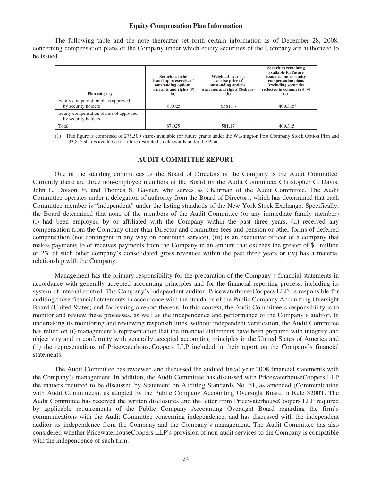#### **Equity Compensation Plan Information**

The following table and the note thereafter set forth certain information as of December 28, 2008, concerning compensation plans of the Company under which equity securities of the Company are authorized to be issued.

| <b>Plan category</b>                                          | Securities to be<br>issued upon exercise of<br>outstanding options,<br>warrants and rights $(H)$<br>(a) | Weighted-average<br>exercise price of<br>outstanding options,<br>warrants and rights (\$/share)<br>(b) | <b>Securities remaining</b><br>available for future<br>issuance under equity<br>compensation plans<br>[excluding securities]<br>reflected in column (a)] $(H)$<br>(c) |
|---------------------------------------------------------------|---------------------------------------------------------------------------------------------------------|--------------------------------------------------------------------------------------------------------|-----------------------------------------------------------------------------------------------------------------------------------------------------------------------|
| Equity compensation plans approved<br>by security holders     | 87,025                                                                                                  | \$581.17                                                                                               | 409.3151                                                                                                                                                              |
| Equity compensation plans not approved<br>by security holders |                                                                                                         |                                                                                                        |                                                                                                                                                                       |
| Total                                                         | 87,025                                                                                                  | 581.17                                                                                                 | 409.315                                                                                                                                                               |

(1) This figure is comprised of 275,500 shares available for future grants under the Washington Post Company Stock Option Plan and 133,815 shares available for future restricted stock awards under the Plan.

#### **AUDIT COMMITTEE REPORT**

One of the standing committees of the Board of Directors of the Company is the Audit Committee. Currently there are three non-employee members of the Board on the Audit Committee: Christopher C. Davis, John L. Dotson Jr. and Thomas S. Gayner, who serves as Chairman of the Audit Committee. The Audit Committee operates under a delegation of authority from the Board of Directors, which has determined that each Committee member is "independent" under the listing standards of the New York Stock Exchange. Specifically, the Board determined that none of the members of the Audit Committee (or any immediate family member) (i) had been employed by or affiliated with the Company within the past three years, (ii) received any compensation from the Company other than Director and committee fees and pension or other forms of deferred compensation (not contingent in any way on continued service), (iii) is an executive officer of a company that makes payments to or receives payments from the Company in an amount that exceeds the greater of \$1 million or 2% of such other company's consolidated gross revenues within the past three years or (iv) has a material relationship with the Company.

Management has the primary responsibility for the preparation of the Company's financial statements in accordance with generally accepted accounting principles and for the financial reporting process, including its system of internal control. The Company's independent auditor, PricewaterhouseCoopers LLP, is responsible for auditing those financial statements in accordance with the standards of the Public Company Accounting Oversight Board (United States) and for issuing a report thereon. In this context, the Audit Committee's responsibility is to monitor and review these processes, as well as the independence and performance of the Company's auditor. In undertaking its monitoring and reviewing responsibilities, without independent verification, the Audit Committee has relied on (i) management's representation that the financial statements have been prepared with integrity and objectivity and in conformity with generally accepted accounting principles in the United States of America and (ii) the representations of PricewaterhouseCoopers LLP included in their report on the Company's financial statements.

The Audit Committee has reviewed and discussed the audited fiscal year 2008 financial statements with the Company's management. In addition, the Audit Committee has discussed with PricewaterhouseCoopers LLP the matters required to be discussed by Statement on Auditing Standards No. 61, as amended (Communication with Audit Committees), as adopted by the Public Company Accounting Oversight Board in Rule 3200T. The Audit Committee has received the written disclosures and the letter from PricewaterhouseCoopers LLP required by applicable requirements of the Public Company Accounting Oversight Board regarding the firm's communications with the Audit Committee concerning independence, and has discussed with the independent auditor its independence from the Company and the Company's management. The Audit Committee has also considered whether PricewaterhouseCoopers LLP's provision of non-audit services to the Company is compatible with the independence of such firm.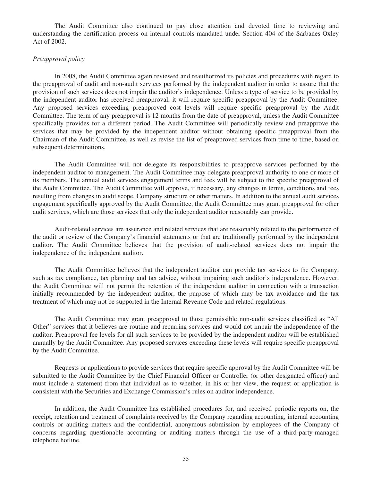The Audit Committee also continued to pay close attention and devoted time to reviewing and understanding the certification process on internal controls mandated under Section 404 of the Sarbanes-Oxley Act of 2002.

#### *Preapproval policy*

In 2008, the Audit Committee again reviewed and reauthorized its policies and procedures with regard to the preapproval of audit and non-audit services performed by the independent auditor in order to assure that the provision of such services does not impair the auditor's independence. Unless a type of service to be provided by the independent auditor has received preapproval, it will require specific preapproval by the Audit Committee. Any proposed services exceeding preapproved cost levels will require specific preapproval by the Audit Committee. The term of any preapproval is 12 months from the date of preapproval, unless the Audit Committee specifically provides for a different period. The Audit Committee will periodically review and preapprove the services that may be provided by the independent auditor without obtaining specific preapproval from the Chairman of the Audit Committee, as well as revise the list of preapproved services from time to time, based on subsequent determinations.

The Audit Committee will not delegate its responsibilities to preapprove services performed by the independent auditor to management. The Audit Committee may delegate preapproval authority to one or more of its members. The annual audit services engagement terms and fees will be subject to the specific preapproval of the Audit Committee. The Audit Committee will approve, if necessary, any changes in terms, conditions and fees resulting from changes in audit scope, Company structure or other matters. In addition to the annual audit services engagement specifically approved by the Audit Committee, the Audit Committee may grant preapproval for other audit services, which are those services that only the independent auditor reasonably can provide.

Audit-related services are assurance and related services that are reasonably related to the performance of the audit or review of the Company's financial statements or that are traditionally performed by the independent auditor. The Audit Committee believes that the provision of audit-related services does not impair the independence of the independent auditor.

The Audit Committee believes that the independent auditor can provide tax services to the Company, such as tax compliance, tax planning and tax advice, without impairing such auditor's independence. However, the Audit Committee will not permit the retention of the independent auditor in connection with a transaction initially recommended by the independent auditor, the purpose of which may be tax avoidance and the tax treatment of which may not be supported in the Internal Revenue Code and related regulations.

The Audit Committee may grant preapproval to those permissible non-audit services classified as "All Other" services that it believes are routine and recurring services and would not impair the independence of the auditor. Preapproval fee levels for all such services to be provided by the independent auditor will be established annually by the Audit Committee. Any proposed services exceeding these levels will require specific preapproval by the Audit Committee.

Requests or applications to provide services that require specific approval by the Audit Committee will be submitted to the Audit Committee by the Chief Financial Officer or Controller (or other designated officer) and must include a statement from that individual as to whether, in his or her view, the request or application is consistent with the Securities and Exchange Commission's rules on auditor independence.

In addition, the Audit Committee has established procedures for, and received periodic reports on, the receipt, retention and treatment of complaints received by the Company regarding accounting, internal accounting controls or auditing matters and the confidential, anonymous submission by employees of the Company of concerns regarding questionable accounting or auditing matters through the use of a third-party-managed telephone hotline.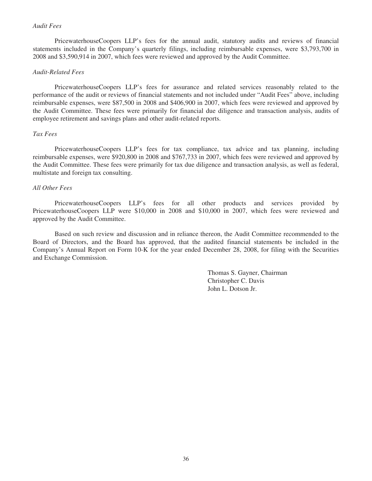#### *Audit Fees*

PricewaterhouseCoopers LLP's fees for the annual audit, statutory audits and reviews of financial statements included in the Company's quarterly filings, including reimbursable expenses, were \$3,793,700 in 2008 and \$3,590,914 in 2007, which fees were reviewed and approved by the Audit Committee.

#### *Audit-Related Fees*

PricewaterhouseCoopers LLP's fees for assurance and related services reasonably related to the performance of the audit or reviews of financial statements and not included under "Audit Fees" above, including reimbursable expenses, were \$87,500 in 2008 and \$406,900 in 2007, which fees were reviewed and approved by the Audit Committee. These fees were primarily for financial due diligence and transaction analysis, audits of employee retirement and savings plans and other audit-related reports.

### *Tax Fees*

PricewaterhouseCoopers LLP's fees for tax compliance, tax advice and tax planning, including reimbursable expenses, were \$920,800 in 2008 and \$767,733 in 2007, which fees were reviewed and approved by the Audit Committee. These fees were primarily for tax due diligence and transaction analysis, as well as federal, multistate and foreign tax consulting.

#### *All Other Fees*

PricewaterhouseCoopers LLP's fees for all other products and services provided by PricewaterhouseCoopers LLP were \$10,000 in 2008 and \$10,000 in 2007, which fees were reviewed and approved by the Audit Committee.

Based on such review and discussion and in reliance thereon, the Audit Committee recommended to the Board of Directors, and the Board has approved, that the audited financial statements be included in the Company's Annual Report on Form 10-K for the year ended December 28, 2008, for filing with the Securities and Exchange Commission.

> Thomas S. Gayner, Chairman Christopher C. Davis John L. Dotson Jr.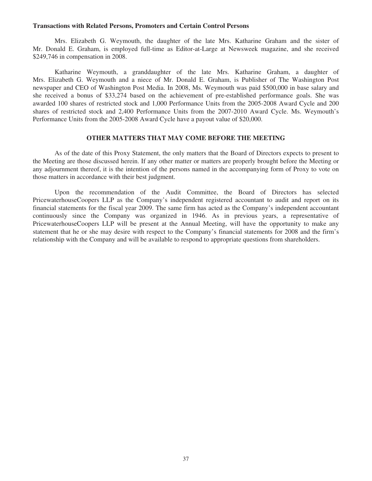#### **Transactions with Related Persons, Promoters and Certain Control Persons**

Mrs. Elizabeth G. Weymouth, the daughter of the late Mrs. Katharine Graham and the sister of Mr. Donald E. Graham, is employed full-time as Editor-at-Large at Newsweek magazine, and she received \$249,746 in compensation in 2008.

Katharine Weymouth, a granddaughter of the late Mrs. Katharine Graham, a daughter of Mrs. Elizabeth G. Weymouth and a niece of Mr. Donald E. Graham, is Publisher of The Washington Post newspaper and CEO of Washington Post Media. In 2008, Ms. Weymouth was paid \$500,000 in base salary and she received a bonus of \$33,274 based on the achievement of pre-established performance goals. She was awarded 100 shares of restricted stock and 1,000 Performance Units from the 2005-2008 Award Cycle and 200 shares of restricted stock and 2,400 Performance Units from the 2007-2010 Award Cycle. Ms. Weymouth's Performance Units from the 2005-2008 Award Cycle have a payout value of \$20,000.

#### **OTHER MATTERS THAT MAY COME BEFORE THE MEETING**

As of the date of this Proxy Statement, the only matters that the Board of Directors expects to present to the Meeting are those discussed herein. If any other matter or matters are properly brought before the Meeting or any adjournment thereof, it is the intention of the persons named in the accompanying form of Proxy to vote on those matters in accordance with their best judgment.

Upon the recommendation of the Audit Committee, the Board of Directors has selected PricewaterhouseCoopers LLP as the Company's independent registered accountant to audit and report on its financial statements for the fiscal year 2009. The same firm has acted as the Company's independent accountant continuously since the Company was organized in 1946. As in previous years, a representative of PricewaterhouseCoopers LLP will be present at the Annual Meeting, will have the opportunity to make any statement that he or she may desire with respect to the Company's financial statements for 2008 and the firm's relationship with the Company and will be available to respond to appropriate questions from shareholders.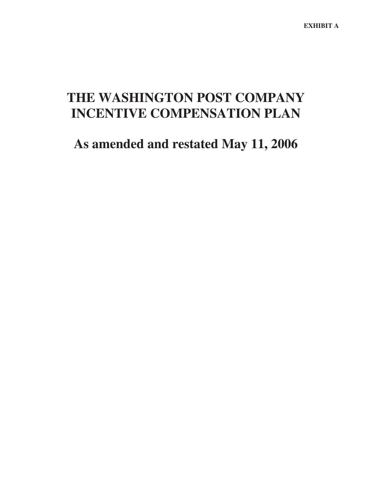# **THE WASHINGTON POST COMPANY INCENTIVE COMPENSATION PLAN**

## **As amended and restated May 11, 2006**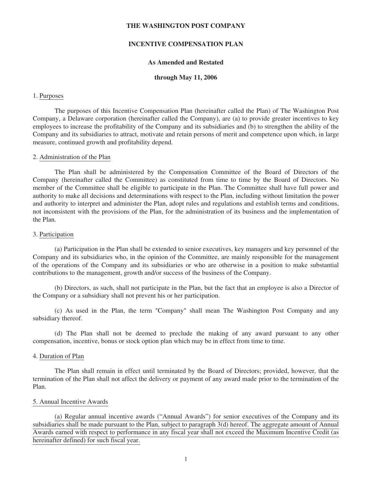#### **THE WASHINGTON POST COMPANY**

#### **INCENTIVE COMPENSATION PLAN**

#### **As Amended and Restated**

#### **through May 11, 2006**

#### 1. Purposes

The purposes of this Incentive Compensation Plan (hereinafter called the Plan) of The Washington Post Company, a Delaware corporation (hereinafter called the Company), are (a) to provide greater incentives to key employees to increase the profitability of the Company and its subsidiaries and (b) to strengthen the ability of the Company and its subsidiaries to attract, motivate and retain persons of merit and competence upon which, in large measure, continued growth and profitability depend.

#### 2. Administration of the Plan

The Plan shall be administered by the Compensation Committee of the Board of Directors of the Company (hereinafter called the Committee) as constituted from time to time by the Board of Directors. No member of the Committee shall be eligible to participate in the Plan. The Committee shall have full power and authority to make all decisions and determinations with respect to the Plan, including without limitation the power and authority to interpret and administer the Plan, adopt rules and regulations and establish terms and conditions, not inconsistent with the provisions of the Plan, for the administration of its business and the implementation of the Plan.

#### 3. Participation

(a) Participation in the Plan shall be extended to senior executives, key managers and key personnel of the Company and its subsidiaries who, in the opinion of the Committee, are mainly responsible for the management of the operations of the Company and its subsidiaries or who are otherwise in a position to make substantial contributions to the management, growth and/or success of the business of the Company.

(b) Directors, as such, shall not participate in the Plan, but the fact that an employee is also a Director of the Company or a subsidiary shall not prevent his or her participation.

(c) As used in the Plan, the term "Company" shall mean The Washington Post Company and any subsidiary thereof.

(d) The Plan shall not be deemed to preclude the making of any award pursuant to any other compensation, incentive, bonus or stock option plan which may be in effect from time to time.

#### 4. Duration of Plan

The Plan shall remain in effect until terminated by the Board of Directors; provided, however, that the termination of the Plan shall not affect the delivery or payment of any award made prior to the termination of the Plan.

#### 5. Annual Incentive Awards

(a) Regular annual incentive awards ("Annual Awards") for senior executives of the Company and its subsidiaries shall be made pursuant to the Plan, subject to paragraph 3(d) hereof. The aggregate amount of Annual Awards earned with respect to performance in any fiscal year shall not exceed the Maximum Incentive Credit (as hereinafter defined) for such fiscal year.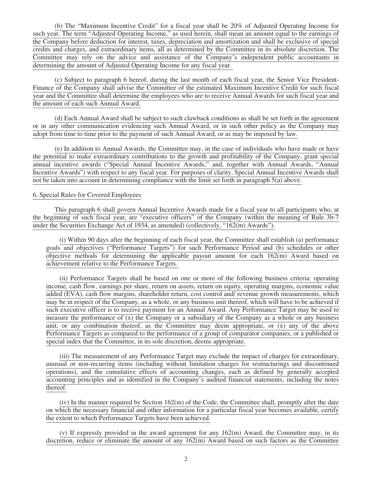(b) The "Maximum Incentive Credit" for a fiscal year shall be 20% of Adjusted Operating Income for such year. The term "Adjusted Operating Income," as used herein, shall mean an amount equal to the earnings of the Company before deduction for interest, taxes, depreciation and amortization and shall be exclusive of special credits and charges, and extraordinary items, all as determined by the Committee in its absolute discretion. The Committee may rely on the advice and assistance of the Company's independent public accountants in determining the amount of Adjusted Operating Income for any fiscal year.

(c) Subject to paragraph 6 hereof, during the last month of each fiscal year, the Senior Vice President-Finance of the Company shall advise the Committee of the estimated Maximum Incentive Credit for such fiscal year and the Committee shall determine the employees who are to receive Annual Awards for such fiscal year and the amount of each such Annual Award.

(d) Each Annual Award shall be subject to such clawback conditions as shall be set forth in the agreement or in any other communication evidencing such Annual Award, or in such other policy as the Company may adopt from time to time prior to the payment of such Annual Award, or as may be imposed by law.

(e) In addition to Annual Awards, the Committee may, in the case of individuals who have made or have the potential to make extraordinary contributions to the growth and profitability of the Company, grant special annual incentive awards ("Special Annual Incentive Awards," and, together with Annual Awards, "Annual Incentive Awards") with respect to any fiscal year. For purposes of clarity, Special Annual Incentive Awards shall not be taken into account in determining compliance with the limit set forth in paragraph 5(a) above.

#### 6. Special Rules for Covered Employees

This paragraph 6 shall govern Annual Incentive Awards made for a fiscal year to all participants who, at the beginning of such fiscal year, are "executive officers" of the Company (within the meaning of Rule 3b-7 under the Securities Exchange Act of 1934, as amended) (collectively, "162(m) Awards").

(i) Within 90 days after the beginning of each fiscal year, the Committee shall establish (a) performance goals and objectives ("Performance Targets") for such Performance Period and (b) schedules or other objective methods for determining the applicable payout amount for each 162(m) Award based on achievement relative to the Performance Targets.

(ii) Performance Targets shall be based on one or more of the following business criteria: operating income, cash flow, earnings per share, return on assets, return on equity, operating margins, economic value added (EVA), cash flow margins, shareholder return, cost control and/ revenue growth measurements, which may be in respect of the Company, as a whole, or any business unit thereof, which will have to be achieved if such executive officer is to receive payment for an Annual Award. Any Performance Target may be used to measure the performance of  $(x)$  the Company or a subsidiary of the Company as a whole or any business unit, or any combination thereof, as the Committee may deem appropriate, or (x) any of the above Performance Targets as compared to the performance of a group of comparator companies, or a published or special index that the Committee, in its sole discretion, deems appropriate.

(iii) The measurement of any Performance Target may exclude the impact of charges for extraordinary, unusual or non-recurring items (including without limitation charges for restructurings and discontinued operations), and the cumulative effects of accounting changes, each as defined by generally accepted accounting principles and as identified in the Company's audited financial statements, including the notes thereof.

(iv) In the manner required by Section 162(m) of the Code, the Committee shall, promptly after the date on which the necessary financial and other information for a particular fiscal year becomes available, certify the extent to which Performance Targets have been achieved.

(v) If expressly provided in the award agreement for any  $162(m)$  Award, the Committee may, in its discretion, reduce or eliminate the amount of any 162(m) Award based on such factors as the Committee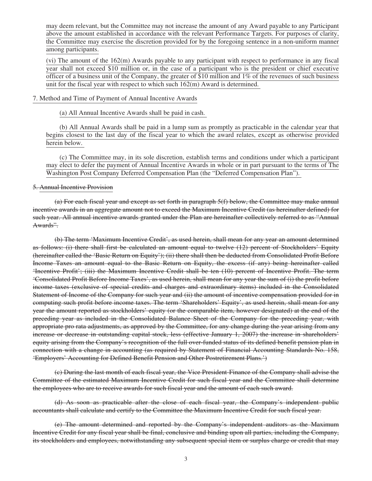may deem relevant, but the Committee may not increase the amount of any Award payable to any Participant above the amount established in accordance with the relevant Performance Targets. For purposes of clarity, the Committee may exercise the discretion provided for by the foregoing sentence in a non-uniform manner among participants.

(vi) The amount of the 162(m) Awards payable to any participant with respect to performance in any fiscal year shall not exceed \$10 million or, in the case of a participant who is the president or chief executive officer of a business unit of the Company, the greater of \$10 million and 1% of the revenues of such business unit for the fiscal year with respect to which such 162(m) Award is determined.

#### 7. Method and Time of Payment of Annual Incentive Awards

(a) All Annual Incentive Awards shall be paid in cash.

(b) All Annual Awards shall be paid in a lump sum as promptly as practicable in the calendar year that begins closest to the last day of the fiscal year to which the award relates, except as otherwise provided herein below.

(c) The Committee may, in its sole discretion, establish terms and conditions under which a participant may elect to defer the payment of Annual Incentive Awards in whole or in part pursuant to the terms of The Washington Post Company Deferred Compensation Plan (the "Deferred Compensation Plan").

#### 5. Annual Incentive Provision

(a) For each fiscal year and except as set forth in paragraph 5(f) below, the Committee may make annual incentive awards in an aggregate amount not to exceed the Maximum Incentive Credit (as hereinafter defined) for such year. All annual incentive awards granted under the Plan are hereinafter collectively referred to as "Annual Awards".

(b) The term 'Maximum Incentive Credit', as used herein, shall mean for any year an amount determined as follows: (i) there shall first be calculated an amount equal to twelve (12) percent of Stockholders' Equity (hereinafter called the 'Basic Return on Equity'); (ii) there shall then be deducted from Consolidated Profit Before Income Taxes an amount equal to the Basic Return on Equity, the excess (if any) being hereinafter called 'Incentive Profit'; (iii) the Maximum Incentive Credit shall be ten (10) percent of Incentive Profit. The term 'Consolidated Profit Before Income Taxes', as used herein, shall mean for any year the sum of (i) the profit before income taxes (exclusive of special credits and charges and extraordinary items) included in the Consolidated Statement of Income of the Company for such year and (ii) the amount of incentive compensation provided for in computing such profit before income taxes. The term 'Shareholders' Equity', as used herein, shall mean for any year the amount reported as stockholders' equity (or the comparable item, however designated) at the end of the preceding year as included in the Consolidated Balance Sheet of the Company for the preceding year, with appropriate pro rata adjustments, as approved by the Committee, for any change during the year arising from any increase or decrease in outstanding capital stock, less (effective January 1, 2007) the increase in shareholders' equity arising from the Company's recognition of the full over-funded status of its defined benefit pension plan in connection with a change in accounting (as required by Statement of Financial Accounting Standards No. 158, 'Employers' Accounting for Defined Benefit Pension and Other Postretirement Plans.')

(c) During the last month of each fiscal year, the Vice President-Finance of the Company shall advise the Committee of the estimated Maximum Incentive Credit for such fiscal year and the Committee shall determine the employees who are to receive awards for such fiscal year and the amount of each such award.

(d) As soon as practicable after the close of each fiscal year, the Company's independent public accountants shall calculate and certify to the Committee the Maximum Incentive Credit for such fiscal year.

(e) The amount determined and reported by the Company's independent auditors as the Maximum Incentive Credit for any fiscal year shall be final, conclusive and binding upon all parties, including the Company, its stockholders and employees, notwithstanding any subsequent special item or surplus charge or credit that may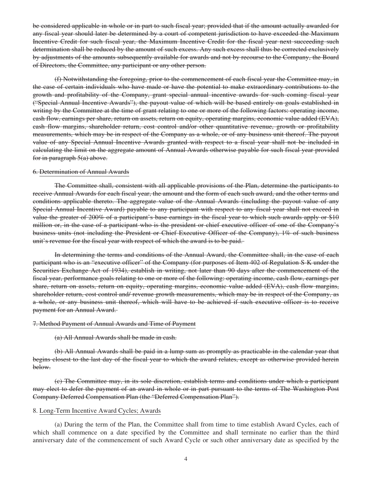be considered applicable in whole or in part to such fiscal year; provided that if the amount actually awarded for any fiscal year should later be determined by a court of competent jurisdiction to have exceeded the Maximum Incentive Credit for such fiscal year, the Maximum Incentive Credit for the fiscal year next succeeding such determination shall be reduced by the amount of such excess. Any such excess shall thus be corrected exclusively by adjustments of the amounts subsequently available for awards and not by recourse to the Company, the Board of Directors, the Committee, any participant or any other person.

(f) Notwithstanding the foregoing, prior to the commencement of each fiscal year the Committee may, in the case of certain individuals who have made or have the potential to make extraordinary contributions to the growth and profitability of the Company, grant special annual incentive awards for such coming fiscal year ("Special Annual Incentive Awards"), the payout value of which will be based entirely on goals established in writing by the Committee at the time of grant relating to one or more of the following factors: operating income, cash flow, earnings per share, return on assets, return on equity, operating margins, economic value added (EVA), cash flow margins, shareholder return, cost control and/or other quantitative revenue, growth or profitability measurements, which may be in respect of the Company as a whole, or of any business unit thereof. The payout value of any Special Annual Incentive Awards granted with respect to a fiscal year shall not be included in calculating the limit on the aggregate amount of Annual Awards otherwise payable for such fiscal year provided for in paragraph 5(a) above.

#### 6. Determination of Annual Awards

The Committee shall, consistent with all applicable provisions of the Plan, determine the participants to receive Annual Awards for each fiscal year, the amount and the form of each such award, and the other terms and conditions applicable thereto. The aggregate value of the Annual Awards (including the payout value of any Special Annual Incentive Award) payable to any participant with respect to any fiscal year shall not exceed in value the greater of 200% of a participant's base earnings in the fiscal year to which such awards apply or \$10 million or, in the case of a participant who is the president or chief executive officer of one of the Company's business units (not including the President or Chief Executive Officer of the Company), 1% of such business unit's revenue for the fiscal year with respect of which the award is to be paid.

In determining the terms and conditions of the Annual Award, the Committee shall, in the case of each participant who is an "executive officer" of the Company (for purposes of Item 402 of Regulation S-K under the Securities Exchange Act of 1934), establish in writing, not later than 90 days after the commencement of the fiscal year, performance goals relating to one or more of the following: operating income, cash flow, earnings per share, return on assets, return on equity, operating margins, economic value added (EVA), cash flow margins, shareholder return, cost control and/ revenue growth measurements, which may be in respect of the Company, as a whole, or any business unit thereof, which will have to be achieved if such executive officer is to receive payment for an Annual Award.

#### 7. Method Payment of Annual Awards and Time of Payment

#### (a) All Annual Awards shall be made in cash.

(b) All Annual Awards shall be paid in a lump sum as promptly as practicable in the calendar year that begins closest to the last day of the fiscal year to which the award relates, except as otherwise provided herein below.

(c) The Committee may, in its sole discretion, establish terms and conditions under which a participant may elect to defer the payment of an award in whole or in part pursuant to the terms of The Washington Post Company Deferred Compensation Plan (the "Deferred Compensation Plan").

#### 8. Long-Term Incentive Award Cycles; Awards

(a) During the term of the Plan, the Committee shall from time to time establish Award Cycles, each of which shall commence on a date specified by the Committee and shall terminate no earlier than the third anniversary date of the commencement of such Award Cycle or such other anniversary date as specified by the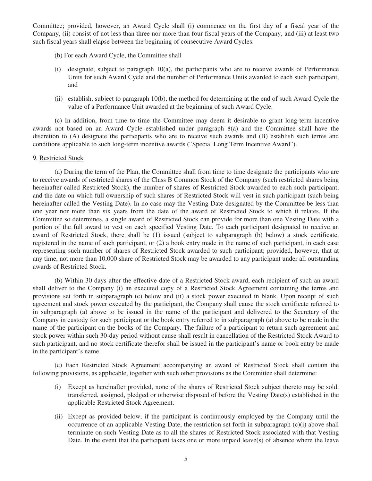Committee; provided, however, an Award Cycle shall (i) commence on the first day of a fiscal year of the Company, (ii) consist of not less than three nor more than four fiscal years of the Company, and (iii) at least two such fiscal years shall elapse between the beginning of consecutive Award Cycles.

- (b) For each Award Cycle, the Committee shall
- (i) designate, subject to paragraph 10(a), the participants who are to receive awards of Performance Units for such Award Cycle and the number of Performance Units awarded to each such participant, and
- (ii) establish, subject to paragraph 10(b), the method for determining at the end of such Award Cycle the value of a Performance Unit awarded at the beginning of such Award Cycle.

**(**c) In addition, from time to time the Committee may deem it desirable to grant long-term incentive awards not based on an Award Cycle established under paragraph 8(a) and the Committee shall have the discretion to (A) designate the participants who are to receive such awards and (B) establish such terms and conditions applicable to such long-term incentive awards ("Special Long Term Incentive Award").

#### 9. Restricted Stock

(a) During the term of the Plan, the Committee shall from time to time designate the participants who are to receive awards of restricted shares of the Class B Common Stock of the Company (such restricted shares being hereinafter called Restricted Stock), the number of shares of Restricted Stock awarded to each such participant, and the date on which full ownership of such shares of Restricted Stock will vest in such participant (such being hereinafter called the Vesting Date). In no case may the Vesting Date designated by the Committee be less than one year nor more than six years from the date of the award of Restricted Stock to which it relates. If the Committee so determines, a single award of Restricted Stock can provide for more than one Vesting Date with a portion of the full award to vest on each specified Vesting Date. To each participant designated to receive an award of Restricted Stock, there shall be (1) issued (subject to subparagraph (b) below) a stock certificate, registered in the name of such participant, or (2) a book entry made in the name of such participant, in each case representing such number of shares of Restricted Stock awarded to such participant; provided, however, that at any time, not more than 10,000 share of Restricted Stock may be awarded to any participant under all outstanding awards of Restricted Stock.

(b) Within 30 days after the effective date of a Restricted Stock award, each recipient of such an award shall deliver to the Company (i) an executed copy of a Restricted Stock Agreement containing the terms and provisions set forth in subparagraph (c) below and (ii) a stock power executed in blank. Upon receipt of such agreement and stock power executed by the participant, the Company shall cause the stock certificate referred to in subparagraph (a) above to be issued in the name of the participant and delivered to the Secretary of the Company in custody for such participant or the book entry referred to in subparagraph (a) above to be made in the name of the participant on the books of the Company. The failure of a participant to return such agreement and stock power within such 30-day period without cause shall result in cancellation of the Restricted Stock Award to such participant, and no stock certificate therefor shall be issued in the participant's name or book entry be made in the participant's name.

(c) Each Restricted Stock Agreement accompanying an award of Restricted Stock shall contain the following provisions, as applicable, together with such other provisions as the Committee shall determine:

- (i) Except as hereinafter provided, none of the shares of Restricted Stock subject thereto may be sold, transferred, assigned, pledged or otherwise disposed of before the Vesting Date(s) established in the applicable Restricted Stock Agreement.
- (ii) Except as provided below, if the participant is continuously employed by the Company until the occurrence of an applicable Vesting Date, the restriction set forth in subparagraph (c)(i) above shall terminate on such Vesting Date as to all the shares of Restricted Stock associated with that Vesting Date. In the event that the participant takes one or more unpaid leave(s) of absence where the leave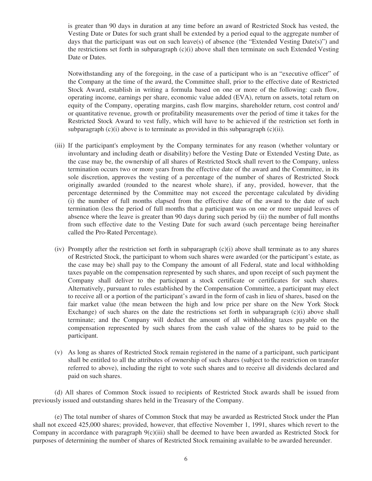is greater than 90 days in duration at any time before an award of Restricted Stock has vested, the Vesting Date or Dates for such grant shall be extended by a period equal to the aggregate number of days that the participant was out on such leave(s) of absence (the "Extended Vesting Date(s)") and the restrictions set forth in subparagraph (c)(i) above shall then terminate on such Extended Vesting Date or Dates.

Notwithstanding any of the foregoing, in the case of a participant who is an "executive officer" of the Company at the time of the award, the Committee shall, prior to the effective date of Restricted Stock Award, establish in writing a formula based on one or more of the following: cash flow, operating income, earnings per share, economic value added (EVA), return on assets, total return on equity of the Company, operating margins, cash flow margins, shareholder return, cost control and/ or quantitative revenue, growth or profitability measurements over the period of time it takes for the Restricted Stock Award to vest fully, which will have to be achieved if the restriction set forth in subparagraph  $(c)(i)$  above is to terminate as provided in this subparagraph  $(c)(ii)$ .

- (iii) If the participant's employment by the Company terminates for any reason (whether voluntary or involuntary and including death or disability) before the Vesting Date or Extended Vesting Date, as the case may be, the ownership of all shares of Restricted Stock shall revert to the Company, unless termination occurs two or more years from the effective date of the award and the Committee, in its sole discretion, approves the vesting of a percentage of the number of shares of Restricted Stock originally awarded (rounded to the nearest whole share), if any, provided, however, that the percentage determined by the Committee may not exceed the percentage calculated by dividing (i) the number of full months elapsed from the effective date of the award to the date of such termination (less the period of full months that a participant was on one or more unpaid leaves of absence where the leave is greater than 90 days during such period by (ii) the number of full months from such effective date to the Vesting Date for such award (such percentage being hereinafter called the Pro-Rated Percentage).
- (iv) Promptly after the restriction set forth in subparagraph (c)(i) above shall terminate as to any shares of Restricted Stock, the participant to whom such shares were awarded (or the participant's estate, as the case may be) shall pay to the Company the amount of all Federal, state and local withholding taxes payable on the compensation represented by such shares, and upon receipt of such payment the Company shall deliver to the participant a stock certificate or certificates for such shares. Alternatively, pursuant to rules established by the Compensation Committee, a participant may elect to receive all or a portion of the participant's award in the form of cash in lieu of shares, based on the fair market value (the mean between the high and low price per share on the New York Stock Exchange) of such shares on the date the restrictions set forth in subparagraph  $(c)(i)$  above shall terminate; and the Company will deduct the amount of all withholding taxes payable on the compensation represented by such shares from the cash value of the shares to be paid to the participant.
- (v) As long as shares of Restricted Stock remain registered in the name of a participant, such participant shall be entitled to all the attributes of ownership of such shares (subject to the restriction on transfer referred to above), including the right to vote such shares and to receive all dividends declared and paid on such shares.

(d) All shares of Common Stock issued to recipients of Restricted Stock awards shall be issued from previously issued and outstanding shares held in the Treasury of the Company.

(e) The total number of shares of Common Stock that may be awarded as Restricted Stock under the Plan shall not exceed 425,000 shares; provided, however, that effective November 1, 1991, shares which revert to the Company in accordance with paragraph  $9(c)(iii)$  shall be deemed to have been awarded as Restricted Stock for purposes of determining the number of shares of Restricted Stock remaining available to be awarded hereunder.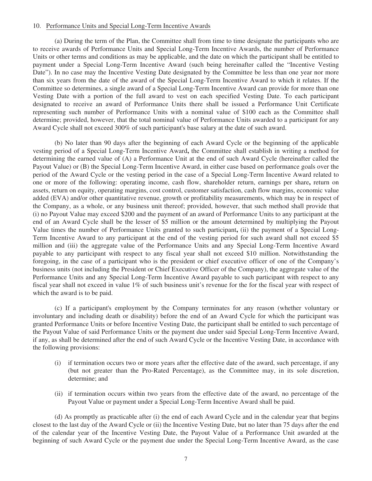#### 10. Performance Units and Special Long-Term Incentive Awards

(a) During the term of the Plan, the Committee shall from time to time designate the participants who are to receive awards of Performance Units and Special Long-Term Incentive Awards, the number of Performance Units or other terms and conditions as may be applicable, and the date on which the participant shall be entitled to payment under a Special Long-Term Incentive Award (such being hereinafter called the "Incentive Vesting Date"). In no case may the Incentive Vesting Date designated by the Committee be less than one year nor more than six years from the date of the award of the Special Long-Term Incentive Award to which it relates. If the Committee so determines, a single award of a Special Long-Term Incentive Award can provide for more than one Vesting Date with a portion of the full award to vest on each specified Vesting Date. To each participant designated to receive an award of Performance Units there shall be issued a Performance Unit Certificate representing such number of Performance Units with a nominal value of \$100 each as the Committee shall determine; provided, however, that the total nominal value of Performance Units awarded to a participant for any Award Cycle shall not exceed 300% of such participant's base salary at the date of such award.

(b) No later than 90 days after the beginning of each Award Cycle or the beginning of the applicable vesting period of a Special Long-Term Incentive Award**,** the Committee shall establish in writing a method for determining the earned value of (A) a Performance Unit at the end of such Award Cycle (hereinafter called the Payout Value) or (B) the Special Long-Term Incentive Award, in either case based on performance goals over the period of the Award Cycle or the vesting period in the case of a Special Long-Term Incentive Award related to one or more of the following: operating income, cash flow, shareholder return, earnings per share**,** return on assets, return on equity, operating margins, cost control, customer satisfaction, cash flow margins, economic value added (EVA) and/or other quantitative revenue, growth or profitability measurements, which may be in respect of the Company, as a whole, or any business unit thereof; provided, however, that such method shall provide that (i) no Payout Value may exceed \$200 and the payment of an award of Performance Units to any participant at the end of an Award Cycle shall be the lesser of \$5 million or the amount determined by multiplying the Payout Value times the number of Performance Units granted to such participant**,** (ii) the payment of a Special Long-Term Incentive Award to any participant at the end of the vesting period for such award shall not exceed \$5 million and (iii) the aggregate value of the Performance Units and any Special Long-Term Incentive Award payable to any participant with respect to any fiscal year shall not exceed \$10 million. Notwithstanding the foregoing, in the case of a participant who is the president or chief executive officer of one of the Company's business units (not including the President or Chief Executive Officer of the Company), the aggregate value of the Performance Units and any Special Long-Term Incentive Award payable to such participant with respect to any fiscal year shall not exceed in value 1% of such business unit's revenue for the for the fiscal year with respect of which the award is to be paid.

(c) If a participant's employment by the Company terminates for any reason (whether voluntary or involuntary and including death or disability) before the end of an Award Cycle for which the participant was granted Performance Units or before Incentive Vesting Date, the participant shall be entitled to such percentage of the Payout Value of said Performance Units or the payment due under said Special Long-Term Incentive Award, if any, as shall be determined after the end of such Award Cycle or the Incentive Vesting Date, in accordance with the following provisions:

- (i) if termination occurs two or more years after the effective date of the award, such percentage, if any (but not greater than the Pro-Rated Percentage), as the Committee may, in its sole discretion, determine; and
- (ii) if termination occurs within two years from the effective date of the award, no percentage of the Payout Value or payment under a Special Long-Term Incentive Award shall be paid.

(d) As promptly as practicable after (i) the end of each Award Cycle and in the calendar year that begins closest to the last day of the Award Cycle or (ii) the Incentive Vesting Date, but no later than 75 days after the end of the calendar year of the Incentive Vesting Date, the Payout Value of a Performance Unit awarded at the beginning of such Award Cycle or the payment due under the Special Long-Term Incentive Award, as the case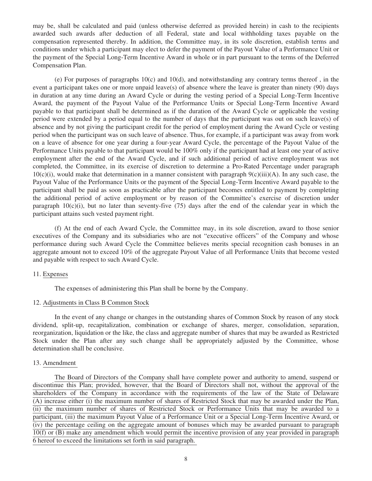may be, shall be calculated and paid (unless otherwise deferred as provided herein) in cash to the recipients awarded such awards after deduction of all Federal, state and local withholding taxes payable on the compensation represented thereby. In addition, the Committee may, in its sole discretion, establish terms and conditions under which a participant may elect to defer the payment of the Payout Value of a Performance Unit or the payment of the Special Long-Term Incentive Award in whole or in part pursuant to the terms of the Deferred Compensation Plan.

(e) For purposes of paragraphs 10(c) and 10(d), and notwithstanding any contrary terms thereof , in the event a participant takes one or more unpaid leave(s) of absence where the leave is greater than ninety (90) days in duration at any time during an Award Cycle or during the vesting period of a Special Long-Term Incentive Award, the payment of the Payout Value of the Performance Units or Special Long-Term Incentive Award payable to that participant shall be determined as if the duration of the Award Cycle or applicable the vesting period were extended by a period equal to the number of days that the participant was out on such leave(s) of absence and by not giving the participant credit for the period of employment during the Award Cycle or vesting period when the participant was on such leave of absence. Thus, for example, if a participant was away from work on a leave of absence for one year during a four-year Award Cycle, the percentage of the Payout Value of the Performance Units payable to that participant would be 100% only if the participant had at least one year of active employment after the end of the Award Cycle, and if such additional period of active employment was not completed, the Committee, in its exercise of discretion to determine a Pro-Rated Percentage under paragraph  $10(c)(i)$ , would make that determination in a manner consistent with paragraph  $9(c)(iii)(A)$ . In any such case, the Payout Value of the Performance Units or the payment of the Special Long-Term Incentive Award payable to the participant shall be paid as soon as practicable after the participant becomes entitled to payment by completing the additional period of active employment or by reason of the Committee's exercise of discretion under paragraph  $10(c)(i)$ , but no later than seventy-five (75) days after the end of the calendar year in which the participant attains such vested payment right.

(f) At the end of each Award Cycle, the Committee may, in its sole discretion, award to those senior executives of the Company and its subsidiaries who are not "executive officers" of the Company and whose performance during such Award Cycle the Committee believes merits special recognition cash bonuses in an aggregate amount not to exceed 10% of the aggregate Payout Value of all Performance Units that become vested and payable with respect to such Award Cycle.

## 11. Expenses

The expenses of administering this Plan shall be borne by the Company.

#### 12. Adjustments in Class B Common Stock

In the event of any change or changes in the outstanding shares of Common Stock by reason of any stock dividend, split-up, recapitalization, combination or exchange of shares, merger, consolidation, separation, reorganization, liquidation or the like, the class and aggregate number of shares that may be awarded as Restricted Stock under the Plan after any such change shall be appropriately adjusted by the Committee, whose determination shall be conclusive.

#### 13. Amendment

The Board of Directors of the Company shall have complete power and authority to amend, suspend or discontinue this Plan; provided, however, that the Board of Directors shall not, without the approval of the shareholders of the Company in accordance with the requirements of the law of the State of Delaware (A) increase either (i) the maximum number of shares of Restricted Stock that may be awarded under the Plan, (ii) the maximum number of shares of Restricted Stock or Performance Units that may be awarded to a participant, (iii) the maximum Payout Value of a Performance Unit or a Special Long-Term Incentive Award, or (iv) the percentage ceiling on the aggregate amount of bonuses which may be awarded pursuant to paragraph 10(f) or (B) make any amendment which would permit the incentive provision of any year provided in paragraph 6 hereof to exceed the limitations set forth in said paragraph.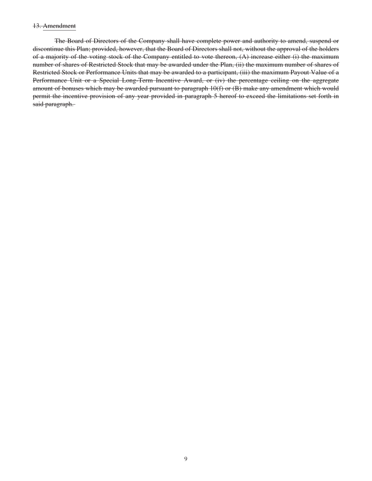#### 13. Amendment

The Board of Directors of the Company shall have complete power and authority to amend, suspend or discontinue this Plan; provided, however, that the Board of Directors shall not, without the approval of the holders of a majority of the voting stock of the Company entitled to vote thereon, (A) increase either (i) the maximum number of shares of Restricted Stock that may be awarded under the Plan, (ii) the maximum number of shares of Restricted Stock or Performance Units that may be awarded to a participant, (iii) the maximum Payout Value of a Performance Unit or a Special Long-Term Incentive Award, or (iv) the percentage ceiling on the aggregate amount of bonuses which may be awarded pursuant to paragraph 10(f) or (B) make any amendment which would permit the incentive provision of any year provided in paragraph 5 hereof to exceed the limitations set forth in said paragraph.